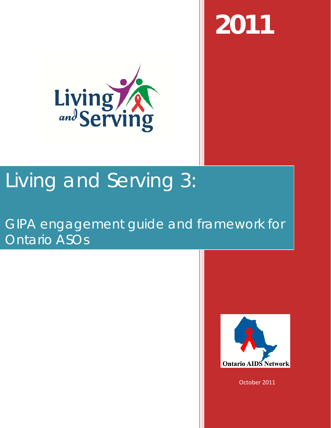**2011**



# Living and Serving 3:

# GIPA engagement guide and framework for Ontario ASOs



October 2011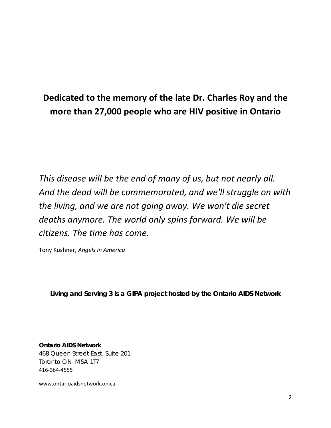# **Dedicated to the memory of the late Dr. Charles Roy and the more than 27,000 people who are HIV positive in Ontario**

*This disease will be the end of many of us, but not nearly all. And the dead will be commemorated, and we'll struggle on with the living, and we are not going away. We won't die secret deaths anymore. The world only spins forward. We will be citizens. The time has come.*

Tony Kushner, *Angels in America*

*Living and Serving 3 is a GIPA project hosted by the Ontario AIDS Network*

**Ontario AIDS Network** 468 Queen Street East, Suite 201 Toronto ON M5A 1T7 416-364-4555

www.ontarioaidsnetwork.on.ca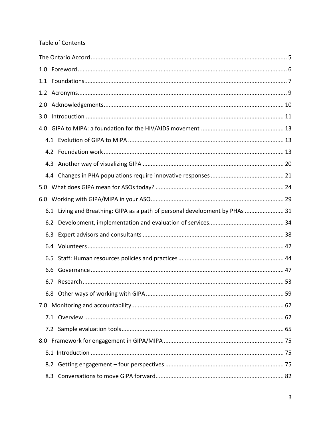#### Table of Contents

| 2.0 |     |                                                                              |  |  |  |
|-----|-----|------------------------------------------------------------------------------|--|--|--|
| 3.0 |     |                                                                              |  |  |  |
| 4.0 |     |                                                                              |  |  |  |
|     |     |                                                                              |  |  |  |
|     |     |                                                                              |  |  |  |
|     |     |                                                                              |  |  |  |
|     |     |                                                                              |  |  |  |
|     |     |                                                                              |  |  |  |
|     |     |                                                                              |  |  |  |
|     |     | 6.1 Living and Breathing: GIPA as a path of personal development by PHAs  31 |  |  |  |
|     |     |                                                                              |  |  |  |
|     |     |                                                                              |  |  |  |
|     |     |                                                                              |  |  |  |
|     |     |                                                                              |  |  |  |
|     | 6.6 |                                                                              |  |  |  |
|     | 6.7 |                                                                              |  |  |  |
|     |     |                                                                              |  |  |  |
|     |     |                                                                              |  |  |  |
|     |     |                                                                              |  |  |  |
|     |     |                                                                              |  |  |  |
|     |     |                                                                              |  |  |  |
|     |     |                                                                              |  |  |  |
|     |     |                                                                              |  |  |  |
|     | 8.3 |                                                                              |  |  |  |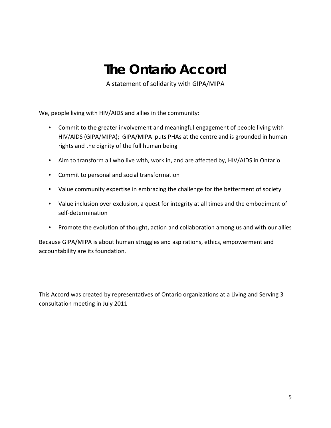# **The Ontario Accord**

A statement of solidarity with GIPA/MIPA

<span id="page-4-0"></span>We, people living with HIV/AIDS and allies in the community:

- Commit to the greater involvement and meaningful engagement of people living with HIV/AIDS (GIPA/MIPA); GIPA/MIPA puts PHAs at the centre and is grounded in human rights and the dignity of the full human being
- Aim to transform all who live with, work in, and are affected by, HIV/AIDS in Ontario
- Commit to personal and social transformation
- Value community expertise in embracing the challenge for the betterment of society
- Value inclusion over exclusion, a quest for integrity at all times and the embodiment of self-determination
- Promote the evolution of thought, action and collaboration among us and with our allies

Because GIPA/MIPA is about human struggles and aspirations, ethics, empowerment and accountability are its foundation.

This Accord was created by representatives of Ontario organizations at a Living and Serving 3 consultation meeting in July 2011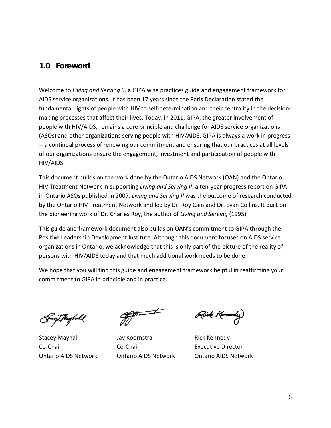# <span id="page-5-0"></span>**1.0 Foreword**

Welcome to *Living and Serving 3,* a GIPA wise practices guide and engagement framework for AIDS service organizations. It has been 17 years since the Paris Declaration stated the fundamental rights of people with HIV to self-determination and their centrality in the decisionmaking processes that affect their lives. Today, in 2011, GIPA, the greater involvement of people with HIV/AIDS, remains a core principle and challenge for AIDS service organizations (ASOs) and other organizations serving people with HIV/AIDS. GIPA is always a work in progress -- a continual process of renewing our commitment and ensuring that our practices at all levels of our organizations ensure the engagement, investment and participation of people with HIV/AIDS.

This document builds on the work done by the Ontario AIDS Network (OAN) and the Ontario HIV Treatment Network in supporting *Living and Serving II*, a ten-year progress report on GIPA in Ontario ASOs published in 2007. *Living and Serving II* was the outcome of research conducted by the Ontario HIV Treatment Network and led by Dr. Roy Cain and Dr. Evan Collins. It built on the pioneering work of Dr. Charles Roy, the author of *Living and Serving* (1995).

This guide and framework document also builds on OAN's commitment to GIPA through the Positive Leadership Development Institute. Although this document focuses on AIDS service organizations in Ontario, we acknowledge that this is only part of the picture of the reality of persons with HIV/AIDS today and that much additional work needs to be done.

We hope that you will find this guide and engagement framework helpful in reaffirming your commitment to GIPA in principle and in practice.

yZ*Theybr*ll

Stacey Mayhall **Stacey Mayhall** Jay Koornstra **Rick Kennedy** Co-Chair Co-Chair Executive Director

Rick Kennedy)

Ontario AIDS Network Ontario AIDS Network Ontario AIDS Network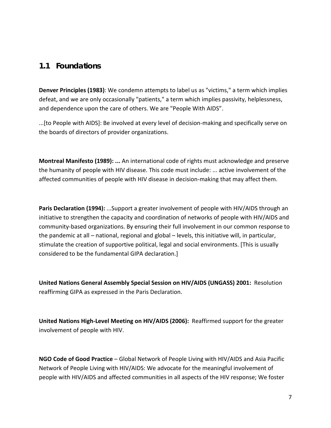## <span id="page-6-0"></span>**1.1 Foundations**

**Denver Principles (1983)**: We condemn attempts to label us as "victims," a term which implies defeat, and we are only occasionally "patients," a term which implies passivity, helplessness, and dependence upon the care of others. We are "People With AIDS".

...[to People with AIDS]: Be involved at every level of decision-making and specifically serve on the boards of directors of provider organizations.

**Montreal Manifesto (1989): ...** An international code of rights must acknowledge and preserve the humanity of people with HIV disease. This code must include: ... active involvement of the affected communities of people with HIV disease in decision-making that may affect them.

**Paris Declaration (1994):** ...Support a greater involvement of people with HIV/AIDS through an initiative to strengthen the capacity and coordination of networks of people with HIV/AIDS and community-based organizations. By ensuring their full involvement in our common response to the pandemic at all – national, regional and global – levels, this initiative will, in particular, stimulate the creation of supportive political, legal and social environments. [This is usually considered to be the fundamental GIPA declaration.]

**United Nations General Assembly Special Session on HIV/AIDS (UNGASS) 2001:** Resolution reaffirming GIPA as expressed in the Paris Declaration.

**United Nations High-Level Meeting on HIV/AIDS (2006):** Reaffirmed support for the greater involvement of people with HIV.

**NGO Code of Good Practice** – Global Network of People Living with HIV/AIDS and Asia Pacific Network of People Living with HIV/AIDS: We advocate for the meaningful involvement of people with HIV/AIDS and affected communities in all aspects of the HIV response; We foster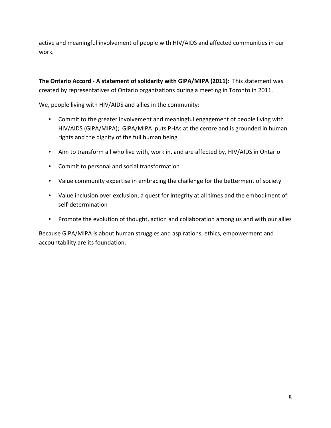active and meaningful involvement of people with HIV/AIDS and affected communities in our work.

**The Ontario Accord** - **A statement of solidarity with GIPA/MIPA (2011)**: This statement was created by representatives of Ontario organizations during a meeting in Toronto in 2011.

We, people living with HIV/AIDS and allies in the community:

- Commit to the greater involvement and meaningful engagement of people living with HIV/AIDS (GIPA/MIPA); GIPA/MIPA puts PHAs at the centre and is grounded in human rights and the dignity of the full human being
- Aim to transform all who live with, work in, and are affected by, HIV/AIDS in Ontario
- Commit to personal and social transformation
- Value community expertise in embracing the challenge for the betterment of society
- Value inclusion over exclusion, a quest for integrity at all times and the embodiment of self-determination
- Promote the evolution of thought, action and collaboration among us and with our allies

Because GIPA/MIPA is about human struggles and aspirations, ethics, empowerment and accountability are its foundation.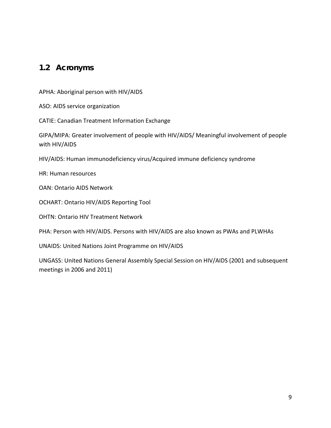# <span id="page-8-0"></span>**1.2 Acronyms**

APHA: Aboriginal person with HIV/AIDS

ASO: AIDS service organization

CATIE: Canadian Treatment Information Exchange

GIPA/MIPA: Greater involvement of people with HIV/AIDS/ Meaningful involvement of people with HIV/AIDS

HIV/AIDS: Human immunodeficiency virus/Acquired immune deficiency syndrome

HR: Human resources

OAN: Ontario AIDS Network

OCHART: Ontario HIV/AIDS Reporting Tool

OHTN: Ontario HIV Treatment Network

PHA: Person with HIV/AIDS. Persons with HIV/AIDS are also known as PWAs and PLWHAs

UNAIDS: United Nations Joint Programme on HIV/AIDS

UNGASS: United Nations General Assembly Special Session on HIV/AIDS (2001 and subsequent meetings in 2006 and 2011)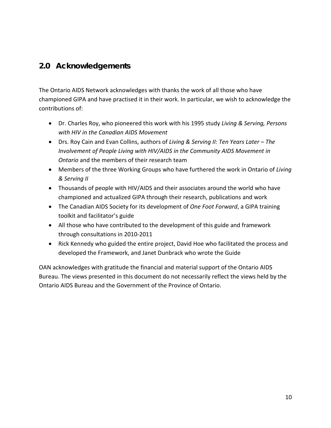# <span id="page-9-0"></span>**2.0 Acknowledgements**

The Ontario AIDS Network acknowledges with thanks the work of all those who have championed GIPA and have practised it in their work. In particular, we wish to acknowledge the contributions of:

- Dr. Charles Roy, who pioneered this work with his 1995 study *Living & Serving, Persons with HIV in the Canadian AIDS Movement*
- Drs. Roy Cain and Evan Collins, authors of *Living & Serving II: Ten Years Later – The Involvement of People Living with HIV/AIDS in the Community AIDS Movement in Ontario* and the members of their research team
- Members of the three Working Groups who have furthered the work in Ontario of *Living & Serving II*
- Thousands of people with HIV/AIDS and their associates around the world who have championed and actualized GIPA through their research, publications and work
- The Canadian AIDS Society for its development of *One Foot Forward*, a GIPA training toolkit and facilitator's guide
- All those who have contributed to the development of this guide and framework through consultations in 2010-2011
- Rick Kennedy who guided the entire project, David Hoe who facilitated the process and developed the Framework, and Janet Dunbrack who wrote the Guide

OAN acknowledges with gratitude the financial and material support of the Ontario AIDS Bureau. The views presented in this document do not necessarily reflect the views held by the Ontario AIDS Bureau and the Government of the Province of Ontario.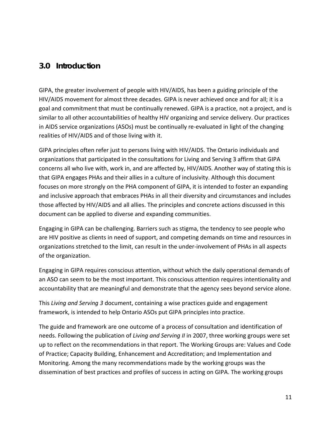# <span id="page-10-0"></span>**3.0 Introduction**

GIPA, the greater involvement of people with HIV/AIDS, has been a guiding principle of the HIV/AIDS movement for almost three decades. GIPA is never achieved once and for all; it is a goal and commitment that must be continually renewed. GIPA is a practice, not a project, and is similar to all other accountabilities of healthy HIV organizing and service delivery. Our practices in AIDS service organizations (ASOs) must be continually re-evaluated in light of the changing realities of HIV/AIDS and of those living with it.

GIPA principles often refer just to persons living with HIV/AIDS. The Ontario individuals and organizations that participated in the consultations for Living and Serving 3 affirm that GIPA concerns all who live with, work in, and are affected by, HIV/AIDS. Another way of stating this is that GIPA engages PHAs and their allies in a culture of inclusivity. Although this document focuses on more strongly on the PHA component of GIPA, it is intended to foster an expanding and inclusive approach that embraces PHAs in all their diversity and circumstances and includes those affected by HIV/AIDS and all allies. The principles and concrete actions discussed in this document can be applied to diverse and expanding communities.

Engaging in GIPA can be challenging. Barriers such as stigma, the tendency to see people who are HIV positive as clients in need of support, and competing demands on time and resources in organizations stretched to the limit, can result in the under-involvement of PHAs in all aspects of the organization.

Engaging in GIPA requires conscious attention, without which the daily operational demands of an ASO can seem to be the most important. This conscious attention requires intentionality and accountability that are meaningful and demonstrate that the agency sees beyond service alone.

This *Living and Serving 3* document, containing a wise practices guide and engagement framework, is intended to help Ontario ASOs put GIPA principles into practice.

The guide and framework are one outcome of a process of consultation and identification of needs. Following the publication of *Living and Serving II* in 2007, three working groups were set up to reflect on the recommendations in that report. The Working Groups are: Values and Code of Practice; Capacity Building, Enhancement and Accreditation; and Implementation and Monitoring. Among the many recommendations made by the working groups was the dissemination of best practices and profiles of success in acting on GIPA. The working groups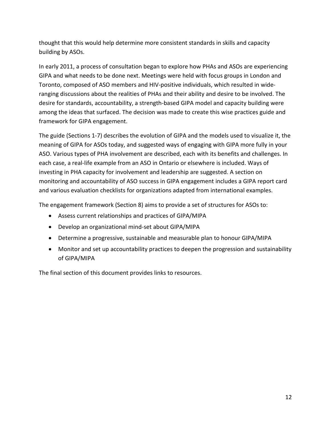thought that this would help determine more consistent standards in skills and capacity building by ASOs.

In early 2011, a process of consultation began to explore how PHAs and ASOs are experiencing GIPA and what needs to be done next. Meetings were held with focus groups in London and Toronto, composed of ASO members and HIV-positive individuals, which resulted in wideranging discussions about the realities of PHAs and their ability and desire to be involved. The desire for standards, accountability, a strength-based GIPA model and capacity building were among the ideas that surfaced. The decision was made to create this wise practices guide and framework for GIPA engagement.

The guide (Sections 1-7) describes the evolution of GIPA and the models used to visualize it, the meaning of GIPA for ASOs today, and suggested ways of engaging with GIPA more fully in your ASO. Various types of PHA involvement are described, each with its benefits and challenges. In each case, a real-life example from an ASO in Ontario or elsewhere is included. Ways of investing in PHA capacity for involvement and leadership are suggested. A section on monitoring and accountability of ASO success in GIPA engagement includes a GIPA report card and various evaluation checklists for organizations adapted from international examples.

The engagement framework (Section 8) aims to provide a set of structures for ASOs to:

- Assess current relationships and practices of GIPA/MIPA
- Develop an organizational mind-set about GIPA/MIPA
- Determine a progressive, sustainable and measurable plan to honour GIPA/MIPA
- Monitor and set up accountability practices to deepen the progression and sustainability of GIPA/MIPA

The final section of this document provides links to resources.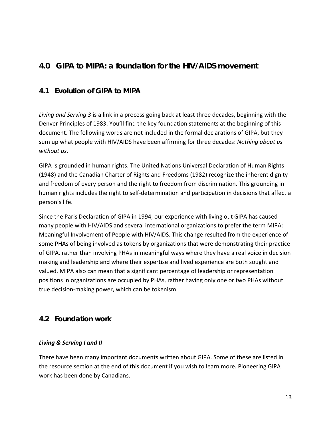# <span id="page-12-0"></span>**4.0 GIPA to MIPA: a foundation for the HIV/AIDS movement**

#### <span id="page-12-1"></span>**4.1 Evolution of GIPA to MIPA**

*Living and Serving 3* is a link in a process going back at least three decades, beginning with the Denver Principles of 1983. You'll find the key foundation statements at the beginning of this document. The following words are not included in the formal declarations of GIPA, but they sum up what people with HIV/AIDS have been affirming for three decades: *Nothing about us without us*.

GIPA is grounded in human rights. The United Nations Universal Declaration of Human Rights (1948) and the Canadian Charter of Rights and Freedoms (1982) recognize the inherent dignity and freedom of every person and the right to freedom from discrimination. This grounding in human rights includes the right to self-determination and participation in decisions that affect a person's life.

Since the Paris Declaration of GIPA in 1994, our experience with living out GIPA has caused many people with HIV/AIDS and several international organizations to prefer the term MIPA: Meaningful Involvement of People with HIV/AIDS. This change resulted from the experience of some PHAs of being involved as tokens by organizations that were demonstrating their practice of GIPA, rather than involving PHAs in meaningful ways where they have a real voice in decision making and leadership and where their expertise and lived experience are both sought and valued. MIPA also can mean that a significant percentage of leadership or representation positions in organizations are occupied by PHAs, rather having only one or two PHAs without true decision-making power, which can be tokenism.

#### <span id="page-12-2"></span>**4.2 Foundation work**

#### *Living & Serving I and II*

There have been many important documents written about GIPA. Some of these are listed in the resource section at the end of this document if you wish to learn more. Pioneering GIPA work has been done by Canadians.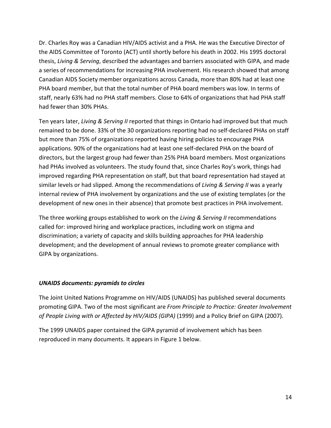Dr. Charles Roy was a Canadian HIV/AIDS activist and a PHA. He was the Executive Director of the AIDS Committee of Toronto (ACT) until shortly before his death in 2002. His 1995 doctoral thesis, *Living & Serving*, described the advantages and barriers associated with GIPA, and made a series of recommendations for increasing PHA involvement. His research showed that among Canadian AIDS Society member organizations across Canada, more than 80% had at least one PHA board member, but that the total number of PHA board members was low. In terms of staff, nearly 63% had no PHA staff members. Close to 64% of organizations that had PHA staff had fewer than 30% PHAs.

Ten years later, *Living & Serving II* reported that things in Ontario had improved but that much remained to be done. 33% of the 30 organizations reporting had no self-declared PHAs on staff but more than 75% of organizations reported having hiring policies to encourage PHA applications. 90% of the organizations had at least one self-declared PHA on the board of directors, but the largest group had fewer than 25% PHA board members. Most organizations had PHAs involved as volunteers. The study found that, since Charles Roy's work, things had improved regarding PHA representation on staff, but that board representation had stayed at similar levels or had slipped. Among the recommendations of *Living & Serving II* was a yearly internal review of PHA involvement by organizations and the use of existing templates (or the development of new ones in their absence) that promote best practices in PHA involvement.

The three working groups established to work on the *Living & Serving II* recommendations called for: improved hiring and workplace practices, including work on stigma and discrimination; a variety of capacity and skills building approaches for PHA leadership development; and the development of annual reviews to promote greater compliance with GIPA by organizations.

#### *UNAIDS documents: pyramids to circles*

The Joint United Nations Programme on HIV/AIDS (UNAIDS) has published several documents promoting GIPA. Two of the most significant are *From Principle to Practice: Greater Involvement of People Living with or Affected by HIV/AIDS (GIPA)* (1999) and a Policy Brief on GIPA (2007).

The 1999 UNAIDS paper contained the GIPA pyramid of involvement which has been reproduced in many documents. It appears in Figure 1 below.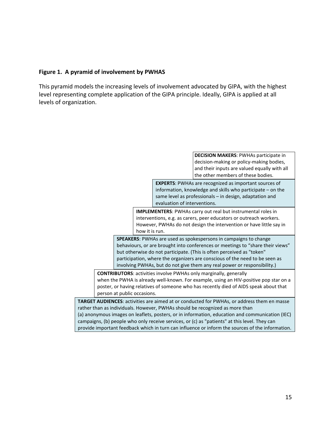#### **Figure 1. A pyramid of involvement by PWHAS**

This pyramid models the increasing levels of involvement advocated by GIPA, with the highest level representing complete application of the GIPA principle. Ideally, GIPA is applied at all levels of organization.

> **DECISION MAKERS**: PWHAs participate in decision-making or policy-making bodies, and their inputs are valued equally with all the other members of these bodies. **EXPERTS**: PWHAs are recognized as important sources of information, knowledge and skills who participate – on the same level as professionals – in design, adaptation and evaluation of interventions. **IMPLEMENTERS**: PWHAs carry out real but instrumental roles in interventions, e.g. as carers, peer educators or outreach workers. However, PWHAs do not design the intervention or have little say in how it is run. **SPEAKERS**: PWHAs are used as spokespersons in campaigns to change behaviours, or are brought into conferences or meetings to "share their views" but otherwise do not participate. (This is often perceived as "token" participation, where the organizers are conscious of the need to be seen as involving PWHAs, but do not give them any real power or responsibility.) **CONTRIBUTORS**: activities involve PWHAs only marginally, generally when the PWHA is already well-known. For example, using an HIV-positive pop star on a poster, or having relatives of someone who has recently died of AIDS speak about that person at public occasions. **TARGET AUDIENCES**: activities are aimed at or conducted for PWHAs, or address them en masse rather than as individuals. However, PWHAs should be recognized as more than (a) anonymous images on leaflets, posters, or in information, education and communication (IEC) campaigns, (b) people who only receive services, or (c) as "patients" at this level. They can provide important feedback which in turn can influence or inform the sources of the information.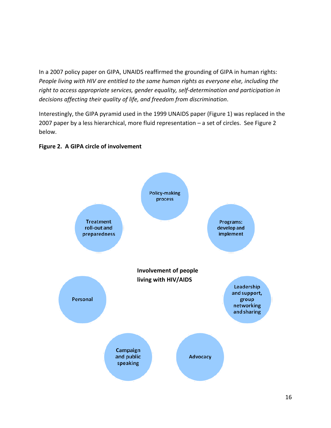In a 2007 policy paper on GIPA, UNAIDS reaffirmed the grounding of GIPA in human rights: *People living with HIV are entitled to the same human rights as everyone else, including the right to access appropriate services, gender equality, self-determination and participation in decisions affecting their quality of life, and freedom from discrimination*.

Interestingly, the GIPA pyramid used in the 1999 UNAIDS paper (Figure 1) was replaced in the 2007 paper by a less hierarchical, more fluid representation – a set of circles. See Figure 2 below.



#### **Figure 2. A GIPA circle of involvement**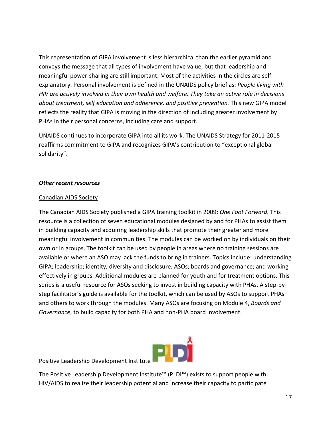This representation of GIPA involvement is less hierarchical than the earlier pyramid and conveys the message that all types of involvement have value, but that leadership and meaningful power-sharing are still important. Most of the activities in the circles are selfexplanatory. Personal involvement is defined in the UNAIDS policy brief as: *People living with HIV are actively involved in their own health and welfare. They take an active role in decisions about treatment, self education and adherence, and positive prevention.* This new GIPA model reflects the reality that GIPA is moving in the direction of including greater involvement by PHAs in their personal concerns, including care and support.

UNAIDS continues to incorporate GIPA into all its work. The UNAIDS Strategy for 2011-2015 reaffirms commitment to GIPA and recognizes GIPA's contribution to "exceptional global solidarity".

#### *Other recent resources*

#### Canadian AIDS Society

The Canadian AIDS Society published a GIPA training toolkit in 2009: *One Foot Forward*. This resource is a collection of seven educational modules designed by and for PHAs to assist them in building capacity and acquiring leadership skills that promote their greater and more meaningful involvement in communities. The modules can be worked on by individuals on their own or in groups. The toolkit can be used by people in areas where no training sessions are available or where an ASO may lack the funds to bring in trainers. Topics include: understanding GIPA; leadership; identity, diversity and disclosure; ASOs; boards and governance; and working effectively in groups. Additional modules are planned for youth and for treatment options. This series is a useful resource for ASOs seeking to invest in building capacity with PHAs. A step-bystep facilitator's guide is available for the toolkit, which can be used by ASOs to support PHAs and others to work through the modules. Many ASOs are focusing on Module 4, *Boards and Governance*, to build capacity for both PHA and non-PHA board involvement.



#### Positive Leadership Development Institute

The Positive Leadership Development Institute™ (PLDI™) exists to support people with HIV/AIDS to realize their leadership potential and increase their capacity to participate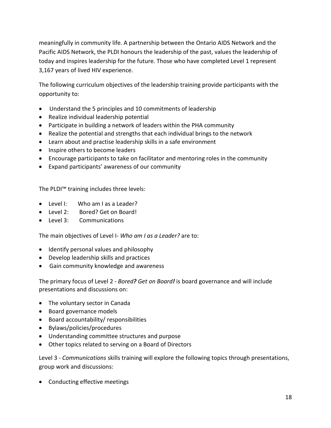meaningfully in community life. A partnership between the Ontario AIDS Network and the Pacific AIDS Network, the PLDI honours the leadership of the past, values the leadership of today and inspires leadership for the future. Those who have completed Level 1 represent 3,167 years of lived HIV experience.

The following curriculum objectives of the leadership training provide participants with the opportunity to:

- Understand the 5 principles and 10 commitments of leadership
- Realize individual leadership potential
- Participate in building a network of leaders within the PHA community
- Realize the potential and strengths that each individual brings to the network
- Learn about and practise leadership skills in a safe environment
- Inspire others to become leaders
- Encourage participants to take on facilitator and mentoring roles in the community
- Expand participants' awareness of our community

The PLDI™ training includes three levels:

- Level I: Who am I as a Leader?
- Level 2: Bored? Get on Board!
- Level 3: Communications

The main objectives of Level I- *Who am I as a Leader?* are to:

- Identify personal values and philosophy
- Develop leadership skills and practices
- Gain community knowledge and awareness

The primary focus of Level 2 - *Bored? Get on Board!* is board governance and will include presentations and discussions on:

- The voluntary sector in Canada
- Board governance models
- Board accountability/ responsibilities
- Bylaws/policies/procedures
- Understanding committee structures and purpose
- Other topics related to serving on a Board of Directors

Level 3 - *Communications* skills training will explore the following topics through presentations, group work and discussions:

• Conducting effective meetings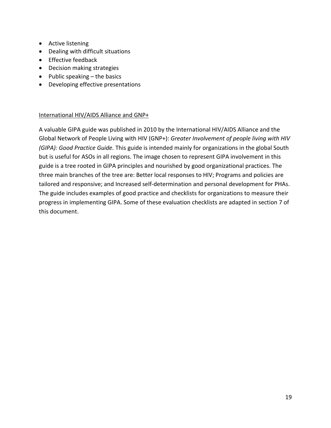- Active listening
- Dealing with difficult situations
- Effective feedback
- Decision making strategies
- Public speaking the basics
- Developing effective presentations

#### International HIV/AIDS Alliance and GNP+

A valuable GIPA guide was published in 2010 by the International HIV/AIDS Alliance and the Global Network of People Living with HIV (GNP+): *Greater Involvement of people living with HIV (GIPA): Good Practice Guide.* This guide is intended mainly for organizations in the global South but is useful for ASOs in all regions. The image chosen to represent GIPA involvement in this guide is a tree rooted in GIPA principles and nourished by good organizational practices. The three main branches of the tree are: Better local responses to HIV; Programs and policies are tailored and responsive; and Increased self-determination and personal development for PHAs. The guide includes examples of good practice and checklists for organizations to measure their progress in implementing GIPA. Some of these evaluation checklists are adapted in section 7 of this document.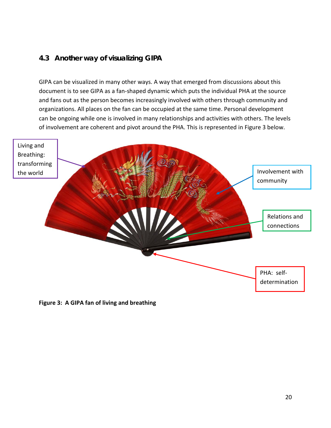### <span id="page-19-0"></span>**4.3 Another way of visualizing GIPA**

GIPA can be visualized in many other ways. A way that emerged from discussions about this document is to see GIPA as a fan-shaped dynamic which puts the individual PHA at the source and fans out as the person becomes increasingly involved with others through community and organizations. All places on the fan can be occupied at the same time. Personal development can be ongoing while one is involved in many relationships and activities with others. The levels of involvement are coherent and pivot around the PHA. This is represented in Figure 3 below.



**Figure 3: A GIPA fan of living and breathing**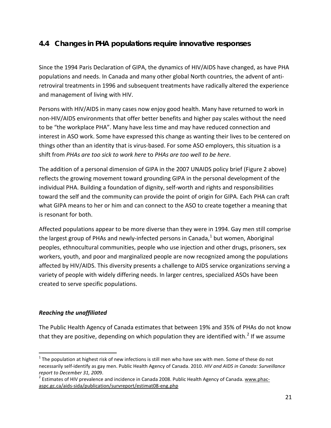# <span id="page-20-0"></span>**4.4 Changes in PHA populations require innovative responses**

Since the 1994 Paris Declaration of GIPA, the dynamics of HIV/AIDS have changed, as have PHA populations and needs. In Canada and many other global North countries, the advent of antiretroviral treatments in 1996 and subsequent treatments have radically altered the experience and management of living with HIV.

Persons with HIV/AIDS in many cases now enjoy good health. Many have returned to work in non-HIV/AIDS environments that offer better benefits and higher pay scales without the need to be "the workplace PHA". Many have less time and may have reduced connection and interest in ASO work. Some have expressed this change as wanting their lives to be centered on things other than an identity that is virus-based. For some ASO employers, this situation is a shift from *PHAs are too sick to work here* to *PHAs are too well to be here*.

The addition of a personal dimension of GIPA in the 2007 UNAIDS policy brief (Figure 2 above) reflects the growing movement toward grounding GIPA in the personal development of the individual PHA. Building a foundation of dignity, self-worth and rights and responsibilities toward the self and the community can provide the point of origin for GIPA. Each PHA can craft what GIPA means to her or him and can connect to the ASO to create together a meaning that is resonant for both.

Affected populations appear to be more diverse than they were in 1994. Gay men still comprise the largest group of PHAs and newly-infected persons in Canada, $<sup>1</sup>$  $<sup>1</sup>$  $<sup>1</sup>$  but women, Aboriginal</sup> peoples, ethnocultural communities, people who use injection and other drugs, prisoners, sex workers, youth, and poor and marginalized people are now recognized among the populations affected by HIV/AIDS. This diversity presents a challenge to AIDS service organizations serving a variety of people with widely differing needs. In larger centres, specialized ASOs have been created to serve specific populations.

#### *Reaching the unaffiliated*

The Public Health Agency of Canada estimates that between 19% and 35% of PHAs do not know that they are positive, depending on which population they are identified with.<sup>[2](#page-20-2)</sup> If we assume

<span id="page-20-1"></span> $1$  The population at highest risk of new infections is still men who have sex with men. Some of these do not necessarily self-identify as gay men. Public Health Agency of Canada. 2010. *HIV and AIDS in Canada: Surveillance report to December 31, 200*9.

<span id="page-20-2"></span><sup>&</sup>lt;sup>2</sup> Estimates of HIV prevalence and incidence in Canada 2008. Public Health Agency of Canada[. www.phac](http://www.phac-aspc.gc.ca/aids-sida/publication/survreport/estimat08-eng.php)[aspc.gc.ca/aids-sida/publication/survreport/estimat08-eng.php](http://www.phac-aspc.gc.ca/aids-sida/publication/survreport/estimat08-eng.php)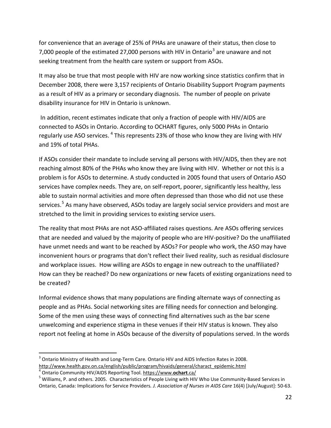for convenience that an average of 25% of PHAs are unaware of their status, then close to 7,000 people of the estimated 27,000 persons with HIV in Ontario<sup>[3](#page-21-0)</sup> are unaware and not seeking treatment from the health care system or support from ASOs.

It may also be true that most people with HIV are now working since statistics confirm that in December 2008, there were 3,157 recipients of Ontario Disability Support Program payments as a result of HIV as a primary or secondary diagnosis. The number of people on private disability insurance for HIV in Ontario is unknown.

In addition, recent estimates indicate that only a fraction of people with HIV/AIDS are connected to ASOs in Ontario. According to OCHART figures, only 5000 PHAs in Ontario regularly use ASO services. <sup>[4](#page-21-1)</sup> This represents 23% of those who know they are living with HIV and 19% of total PHAs.

If ASOs consider their mandate to include serving all persons with HIV/AIDS, then they are not reaching almost 80% of the PHAs who know they are living with HIV. Whether or not this is a problem is for ASOs to determine. A study conducted in 2005 found that users of Ontario ASO services have complex needs. They are, on self-report, poorer, significantly less healthy, less able to sustain normal activities and more often depressed than those who did not use these services.<sup>[5](#page-21-2)</sup> As many have observed, ASOs today are largely social service providers and most are stretched to the limit in providing services to existing service users.

The reality that most PHAs are not ASO-affiliated raises questions. Are ASOs offering services that are needed and valued by the majority of people who are HIV-positive? Do the unaffiliated have unmet needs and want to be reached by ASOs? For people who work, the ASO may have inconvenient hours or programs that don't reflect their lived reality, such as residual disclosure and workplace issues. How willing are ASOs to engage in new outreach to the unaffiliated? How can they be reached? Do new organizations or new facets of existing organizations need to be created?

Informal evidence shows that many populations are finding alternate ways of connecting as people and as PHAs. Social networking sites are filling needs for connection and belonging. Some of the men using these ways of connecting find alternatives such as the bar scene unwelcoming and experience stigma in these venues if their HIV status is known. They also report not feeling at home in ASOs because of the diversity of populations served. In the words

<span id="page-21-0"></span> $3$  Ontario Ministry of Health and Long-Term Care. Ontario HIV and AIDS Infection Rates in 2008. [http://www.health.gov.on.ca/english/public/program/hivaids/general/charact\\_epidemic.html](http://www.health.gov.on.ca/english/public/program/hivaids/general/charact_epidemic.html)

<span id="page-21-2"></span><span id="page-21-1"></span><sup>&</sup>lt;sup>4</sup> Ontario Community HIV/AIDS Reporting Tool. <u>https://www.**ochart**.ca/</u><br><sup>5</sup> Williams, P. and others. 2005. Characteristics of People Living with HIV Who Use Community-Based Services in Ontario, Canada: Implications for Service Providers*. J. Association of Nurses in AIDS Care* 16(4) [July/August]: 50-63.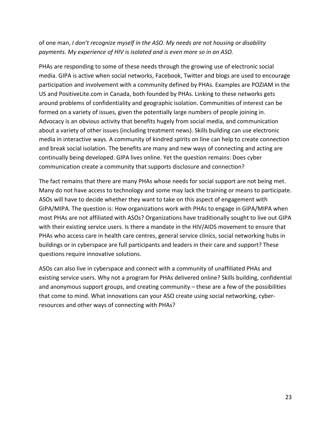#### of one man, *I don't recognize myself in the ASO*. *My needs are not housing or disability payments. My experience of HIV is isolated and is even more so in an ASO.*

PHAs are responding to some of these needs through the growing use of electronic social media. GIPA is active when social networks, Facebook, Twitter and blogs are used to encourage participation and involvement with a community defined by PHAs. Examples are POZIAM in the US and PositiveLite.com in Canada, both founded by PHAs. Linking to these networks gets around problems of confidentiality and geographic isolation. Communities of interest can be formed on a variety of issues, given the potentially large numbers of people joining in. Advocacy is an obvious activity that benefits hugely from social media, and communication about a variety of other issues (including treatment news). Skills building can use electronic media in interactive ways. A community of kindred spirits on line can help to create connection and break social isolation. The benefits are many and new ways of connecting and acting are continually being developed. GIPA lives online. Yet the question remains: Does cyber communication create a community that supports disclosure and connection?

The fact remains that there are many PHAs whose needs for social support are not being met. Many do not have access to technology and some may lack the training or means to participate. ASOs will have to decide whether they want to take on this aspect of engagement with GIPA/MIPA. The question is: How organizations work with PHAs to engage in GIPA/MIPA when most PHAs are not affiliated with ASOs? Organizations have traditionally sought to live out GIPA with their existing service users. Is there a mandate in the HIV/AIDS movement to ensure that PHAs who access care in health care centres, general service clinics, social networking hubs in buildings or in cyberspace are full participants and leaders in their care and support? These questions require innovative solutions.

ASOs can also live in cyberspace and connect with a community of unaffiliated PHAs and existing service users. Why not a program for PHAs delivered online? Skills building, confidential and anonymous support groups, and creating community – these are a few of the possibilities that come to mind. What innovations can your ASO create using social networking, cyberresources and other ways of connecting with PHAs?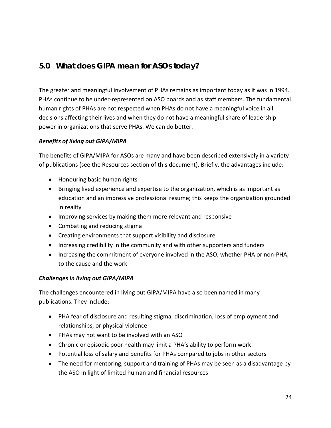# <span id="page-23-0"></span>**5.0 What does GIPA mean for ASOs today?**

The greater and meaningful involvement of PHAs remains as important today as it was in 1994. PHAs continue to be under-represented on ASO boards and as staff members. The fundamental human rights of PHAs are not respected when PHAs do not have a meaningful voice in all decisions affecting their lives and when they do not have a meaningful share of leadership power in organizations that serve PHAs. We can do better.

#### *Benefits of living out GIPA/MIPA*

The benefits of GIPA/MIPA for ASOs are many and have been described extensively in a variety of publications (see the Resources section of this document). Briefly, the advantages include:

- Honouring basic human rights
- Bringing lived experience and expertise to the organization, which is as important as education and an impressive professional resume; this keeps the organization grounded in reality
- Improving services by making them more relevant and responsive
- Combating and reducing stigma
- Creating environments that support visibility and disclosure
- Increasing credibility in the community and with other supporters and funders
- Increasing the commitment of everyone involved in the ASO, whether PHA or non-PHA, to the cause and the work

#### *Challenges in living out GIPA/MIPA*

The challenges encountered in living out GIPA/MIPA have also been named in many publications. They include:

- PHA fear of disclosure and resulting stigma, discrimination, loss of employment and relationships, or physical violence
- PHAs may not want to be involved with an ASO
- Chronic or episodic poor health may limit a PHA's ability to perform work
- Potential loss of salary and benefits for PHAs compared to jobs in other sectors
- The need for mentoring, support and training of PHAs may be seen as a disadvantage by the ASO in light of limited human and financial resources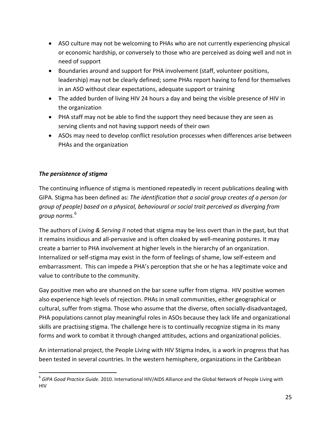- ASO culture may not be welcoming to PHAs who are not currently experiencing physical or economic hardship, or conversely to those who are perceived as doing well and not in need of support
- Boundaries around and support for PHA involvement (staff, volunteer positions, leadership) may not be clearly defined; some PHAs report having to fend for themselves in an ASO without clear expectations, adequate support or training
- The added burden of living HIV 24 hours a day and being the visible presence of HIV in the organization
- PHA staff may not be able to find the support they need because they are seen as serving clients and not having support needs of their own
- ASOs may need to develop conflict resolution processes when differences arise between PHAs and the organization

#### *The persistence of stigma*

The continuing influence of stigma is mentioned repeatedly in recent publications dealing with GIPA. Stigma has been defined as: *The identification that a social group creates of a person (or group of people) based on a physical, behavioural or social trait perceived as diverging from group norms*. [6](#page-24-0)

The authors of *Living & Serving II* noted that stigma may be less overt than in the past, but that it remains insidious and all-pervasive and is often cloaked by well-meaning postures. It may create a barrier to PHA involvement at higher levels in the hierarchy of an organization. Internalized or self-stigma may exist in the form of feelings of shame, low self-esteem and embarrassment. This can impede a PHA's perception that she or he has a legitimate voice and value to contribute to the community.

Gay positive men who are shunned on the bar scene suffer from stigma. HIV positive women also experience high levels of rejection. PHAs in small communities, either geographical or cultural, suffer from stigma. Those who assume that the diverse, often socially-disadvantaged, PHA populations cannot play meaningful roles in ASOs because they lack life and organizational skills are practising stigma. The challenge here is to continually recognize stigma in its many forms and work to combat it through changed attitudes, actions and organizational policies.

An international project, the People Living with HIV Stigma Index, is a work in progress that has been tested in several countries. In the western hemisphere, organizations in the Caribbean

<span id="page-24-0"></span> <sup>6</sup> *GIPA Good Practice Guide*. 2010. International HIV/AIDS Alliance and the Global Network of People Living with HIV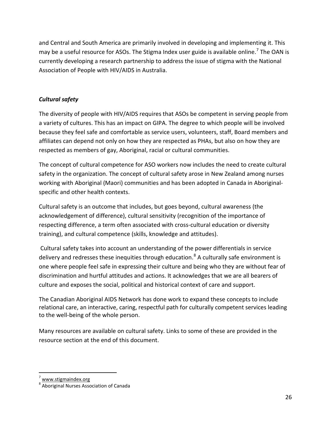and Central and South America are primarily involved in developing and implementing it. This may be a useful resource for ASOs. The Stigma Index user guide is available online.<sup>[7](#page-25-0)</sup> The OAN is currently developing a research partnership to address the issue of stigma with the National Association of People with HIV/AIDS in Australia.

#### *Cultural safety*

The diversity of people with HIV/AIDS requires that ASOs be competent in serving people from a variety of cultures. This has an impact on GIPA. The degree to which people will be involved because they feel safe and comfortable as service users, volunteers, staff, Board members and affiliates can depend not only on how they are respected as PHAs, but also on how they are respected as members of gay, Aboriginal, racial or cultural communities.

The concept of cultural competence for ASO workers now includes the need to create cultural safety in the organization. The concept of cultural safety arose in New Zealand among nurses working with Aboriginal (Maori) communities and has been adopted in Canada in Aboriginalspecific and other health contexts.

Cultural safety is an outcome that includes, but goes beyond, cultural awareness (the acknowledgement of difference), cultural sensitivity (recognition of the importance of respecting difference, a term often associated with cross-cultural education or diversity training), and cultural competence (skills, knowledge and attitudes).

Cultural safety takes into account an understanding of the power differentials in service delivery and redresses these inequities through education.<sup>[8](#page-25-1)</sup> A culturally safe environment is one where people feel safe in expressing their culture and being who they are without fear of discrimination and hurtful attitudes and actions. It acknowledges that we are all bearers of culture and exposes the social, political and historical context of care and support.

The Canadian Aboriginal AIDS Network has done work to expand these concepts to include relational care, an interactive, caring, respectful path for culturally competent services leading to the well-being of the whole person.

Many resources are available on cultural safety. Links to some of these are provided in the resource section at the end of this document.

<span id="page-25-0"></span>[www.stigmaindex.org](http://www.stigmaindex.org/)

<span id="page-25-1"></span><sup>8</sup> Aboriginal Nurses Association of Canada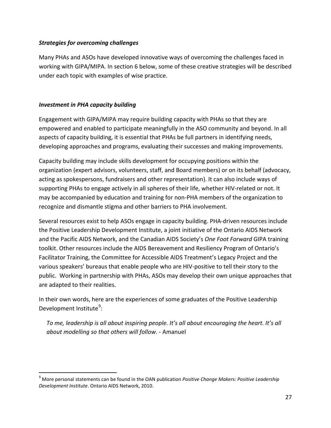#### *Strategies for overcoming challenges*

Many PHAs and ASOs have developed innovative ways of overcoming the challenges faced in working with GIPA/MIPA. In section 6 below, some of these creative strategies will be described under each topic with examples of wise practice.

#### *Investment in PHA capacity building*

Engagement with GIPA/MIPA may require building capacity with PHAs so that they are empowered and enabled to participate meaningfully in the ASO community and beyond. In all aspects of capacity building, it is essential that PHAs be full partners in identifying needs, developing approaches and programs, evaluating their successes and making improvements.

Capacity building may include skills development for occupying positions within the organization (expert advisors, volunteers, staff, and Board members) or on its behalf (advocacy, acting as spokespersons, fundraisers and other representation). It can also include ways of supporting PHAs to engage actively in all spheres of their life, whether HIV-related or not. It may be accompanied by education and training for non-PHA members of the organization to recognize and dismantle stigma and other barriers to PHA involvement.

Several resources exist to help ASOs engage in capacity building. PHA-driven resources include the Positive Leadership Development Institute, a joint initiative of the Ontario AIDS Network and the Pacific AIDS Network, and the Canadian AIDS Society's *One Foot Forward* GIPA training toolkit. Other resources include the AIDS Bereavement and Resiliency Program of Ontario's Facilitator Training, the Committee for Accessible AIDS Treatment's Legacy Project and the various speakers' bureaus that enable people who are HIV-positive to tell their story to the public. Working in partnership with PHAs, ASOs may develop their own unique approaches that are adapted to their realities.

In their own words, here are the experiences of some graduates of the Positive Leadership Development Institute<sup>[9](#page-26-0)</sup>:

*To me, leadership is all about inspiring people. It's all about encouraging the heart. It's all about modelling so that others will follow*. - Amanuel

<span id="page-26-0"></span> <sup>9</sup> More personal statements can be found in the OAN publication *Positive Change Makers: Positive Leadership Development Institute*. Ontario AIDS Network, 2010.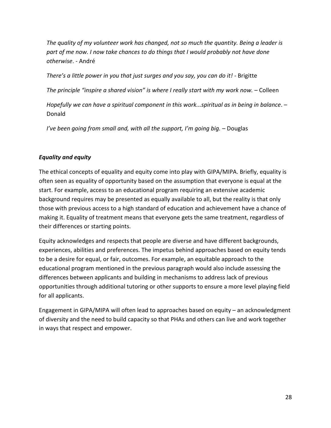*The quality of my volunteer work has changed, not so much the quantity. Being a leader is part of me now. I now take chances to do things that I would probably not have done otherwise*. - André

*There's a little power in you that just surges and you say, you can do it!* - Brigitte

*The principle "inspire a shared vision" is where I really start with my work now.* – Colleen

*Hopefully we can have a spiritual component in this work...spiritual as in being in balance*. – Donald

*I've been going from small and, with all the support, I'm going big.* – Douglas

#### *Equality and equity*

The ethical concepts of equality and equity come into play with GIPA/MIPA. Briefly, equality is often seen as equality of opportunity based on the assumption that everyone is equal at the start. For example, access to an educational program requiring an extensive academic background requires may be presented as equally available to all, but the reality is that only those with previous access to a high standard of education and achievement have a chance of making it. Equality of treatment means that everyone gets the same treatment, regardless of their differences or starting points.

Equity acknowledges and respects that people are diverse and have different backgrounds, experiences, abilities and preferences. The impetus behind approaches based on equity tends to be a desire for equal, or fair, outcomes. For example, an equitable approach to the educational program mentioned in the previous paragraph would also include assessing the differences between applicants and building in mechanisms to address lack of previous opportunities through additional tutoring or other supports to ensure a more level playing field for all applicants.

Engagement in GIPA/MIPA will often lead to approaches based on equity – an acknowledgment of diversity and the need to build capacity so that PHAs and others can live and work together in ways that respect and empower.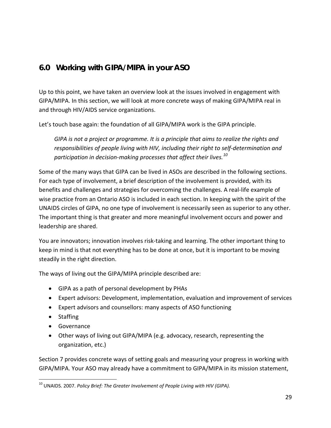# <span id="page-28-0"></span>**6.0 Working with GIPA/MIPA in your ASO**

Up to this point, we have taken an overview look at the issues involved in engagement with GIPA/MIPA. In this section, we will look at more concrete ways of making GIPA/MIPA real in and through HIV/AIDS service organizations.

Let's touch base again: the foundation of all GIPA/MIPA work is the GIPA principle.

*GIPA is not a project or programme. It is a principle that aims to realize the rights and responsibilities of people living with HIV, including their right to self-determination and participation in decision-making processes that affect their lives.[10](#page-28-1)*

Some of the many ways that GIPA can be lived in ASOs are described in the following sections. For each type of involvement, a brief description of the involvement is provided, with its benefits and challenges and strategies for overcoming the challenges. A real-life example of wise practice from an Ontario ASO is included in each section. In keeping with the spirit of the UNAIDS circles of GIPA, no one type of involvement is necessarily seen as superior to any other. The important thing is that greater and more meaningful involvement occurs and power and leadership are shared.

You are innovators; innovation involves risk-taking and learning. The other important thing to keep in mind is that not everything has to be done at once, but it is important to be moving steadily in the right direction.

The ways of living out the GIPA/MIPA principle described are:

- GIPA as a path of personal development by PHAs
- Expert advisors: Development, implementation, evaluation and improvement of services
- Expert advisors and counsellors: many aspects of ASO functioning
- Staffing
- Governance
- Other ways of living out GIPA/MIPA (e.g. advocacy, research, representing the organization, etc.)

Section 7 provides concrete ways of setting goals and measuring your progress in working with GIPA/MIPA. Your ASO may already have a commitment to GIPA/MIPA in its mission statement,

<span id="page-28-1"></span><sup>&</sup>lt;sup>10</sup> UNAIDS. 2007. Policy Brief: The Greater Involvement of People Living with HIV (GIPA).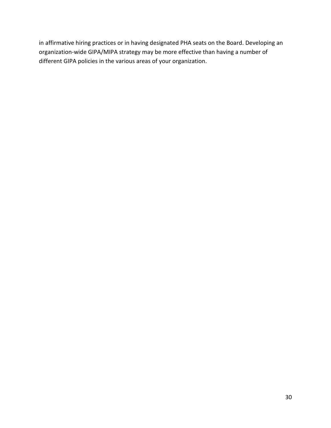in affirmative hiring practices or in having designated PHA seats on the Board. Developing an organization-wide GIPA/MIPA strategy may be more effective than having a number of different GIPA policies in the various areas of your organization.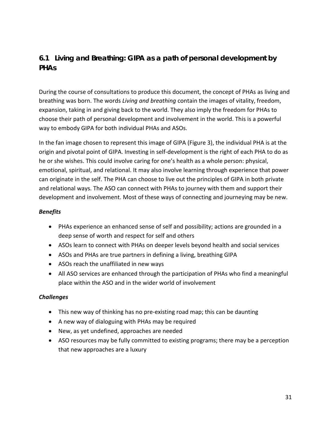# <span id="page-30-0"></span>**6.1 Living and Breathing: GIPA as a path of personal development by PHAs**

During the course of consultations to produce this document, the concept of PHAs as living and breathing was born. The words *Living and breathing* contain the images of vitality, freedom, expansion, taking in and giving back to the world. They also imply the freedom for PHAs to choose their path of personal development and involvement in the world. This is a powerful way to embody GIPA for both individual PHAs and ASOs.

In the fan image chosen to represent this image of GIPA (Figure 3), the individual PHA is at the origin and pivotal point of GIPA. Investing in self-development is the right of each PHA to do as he or she wishes. This could involve caring for one's health as a whole person: physical, emotional, spiritual, and relational. It may also involve learning through experience that power can originate in the self. The PHA can choose to live out the principles of GIPA in both private and relational ways. The ASO can connect with PHAs to journey with them and support their development and involvement. Most of these ways of connecting and journeying may be new.

#### *Benefits*

- PHAs experience an enhanced sense of self and possibility; actions are grounded in a deep sense of worth and respect for self and others
- ASOs learn to connect with PHAs on deeper levels beyond health and social services
- ASOs and PHAs are true partners in defining a living, breathing GIPA
- ASOs reach the unaffiliated in new ways
- All ASO services are enhanced through the participation of PHAs who find a meaningful place within the ASO and in the wider world of involvement

#### *Challenges*

- This new way of thinking has no pre-existing road map; this can be daunting
- A new way of dialoguing with PHAs may be required
- New, as yet undefined, approaches are needed
- ASO resources may be fully committed to existing programs; there may be a perception that new approaches are a luxury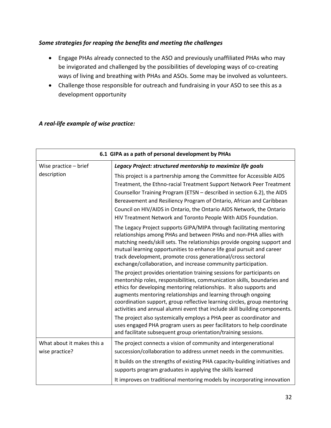#### *Some strategies for reaping the benefits and meeting the challenges*

- Engage PHAs already connected to the ASO and previously unaffiliated PHAs who may be invigorated and challenged by the possibilities of developing ways of co-creating ways of living and breathing with PHAs and ASOs. Some may be involved as volunteers.
- Challenge those responsible for outreach and fundraising in your ASO to see this as a development opportunity

#### *A real-life example of wise practice:*

| 6.1 GIPA as a path of personal development by PHAs |                                                                                                                                                                                                                                                                                                                                                                                                                                                      |  |  |  |
|----------------------------------------------------|------------------------------------------------------------------------------------------------------------------------------------------------------------------------------------------------------------------------------------------------------------------------------------------------------------------------------------------------------------------------------------------------------------------------------------------------------|--|--|--|
| Wise practice - brief                              | Legacy Project: structured mentorship to maximize life goals                                                                                                                                                                                                                                                                                                                                                                                         |  |  |  |
| description                                        | This project is a partnership among the Committee for Accessible AIDS<br>Treatment, the Ethno-racial Treatment Support Network Peer Treatment<br>Counsellor Training Program (ETSN - described in section 6.2), the AIDS<br>Bereavement and Resiliency Program of Ontario, African and Caribbean<br>Council on HIV/AIDS in Ontario, the Ontario AIDS Network, the Ontario<br>HIV Treatment Network and Toronto People With AIDS Foundation.          |  |  |  |
|                                                    | The Legacy Project supports GIPA/MIPA through facilitating mentoring<br>relationships among PHAs and between PHAs and non-PHA allies with<br>matching needs/skill sets. The relationships provide ongoing support and<br>mutual learning opportunities to enhance life goal pursuit and career<br>track development, promote cross generational/cross sectoral<br>exchange/collaboration, and increase community participation.                      |  |  |  |
|                                                    | The project provides orientation training sessions for participants on<br>mentorship roles, responsibilities, communication skills, boundaries and<br>ethics for developing mentoring relationships. It also supports and<br>augments mentoring relationships and learning through ongoing<br>coordination support, group reflective learning circles, group mentoring<br>activities and annual alumni event that include skill building components. |  |  |  |
|                                                    | The project also systemically employs a PHA peer as coordinator and<br>uses engaged PHA program users as peer facilitators to help coordinate<br>and facilitate subsequent group orientation/training sessions.                                                                                                                                                                                                                                      |  |  |  |
| What about it makes this a                         | The project connects a vision of community and intergenerational                                                                                                                                                                                                                                                                                                                                                                                     |  |  |  |
| wise practice?                                     | succession/collaboration to address unmet needs in the communities.                                                                                                                                                                                                                                                                                                                                                                                  |  |  |  |
|                                                    | It builds on the strengths of existing PHA capacity-building initiatives and<br>supports program graduates in applying the skills learned                                                                                                                                                                                                                                                                                                            |  |  |  |
|                                                    | It improves on traditional mentoring models by incorporating innovation                                                                                                                                                                                                                                                                                                                                                                              |  |  |  |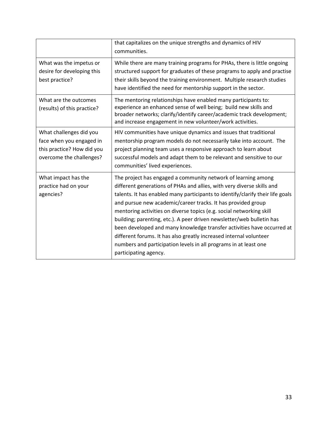|                                                                                                               | that capitalizes on the unique strengths and dynamics of HIV<br>communities.                                                                                                                                                                                                                                                                                                                                                                                                                                                                                                                                                                                                            |
|---------------------------------------------------------------------------------------------------------------|-----------------------------------------------------------------------------------------------------------------------------------------------------------------------------------------------------------------------------------------------------------------------------------------------------------------------------------------------------------------------------------------------------------------------------------------------------------------------------------------------------------------------------------------------------------------------------------------------------------------------------------------------------------------------------------------|
| What was the impetus or<br>desire for developing this<br>best practice?                                       | While there are many training programs for PHAs, there is little ongoing<br>structured support for graduates of these programs to apply and practise<br>their skills beyond the training environment. Multiple research studies<br>have identified the need for mentorship support in the sector.                                                                                                                                                                                                                                                                                                                                                                                       |
| What are the outcomes<br>(results) of this practice?                                                          | The mentoring relationships have enabled many participants to:<br>experience an enhanced sense of well being; build new skills and<br>broader networks; clarify/identify career/academic track development;<br>and increase engagement in new volunteer/work activities.                                                                                                                                                                                                                                                                                                                                                                                                                |
| What challenges did you<br>face when you engaged in<br>this practice? How did you<br>overcome the challenges? | HIV communities have unique dynamics and issues that traditional<br>mentorship program models do not necessarily take into account. The<br>project planning team uses a responsive approach to learn about<br>successful models and adapt them to be relevant and sensitive to our<br>communities' lived experiences.                                                                                                                                                                                                                                                                                                                                                                   |
| What impact has the<br>practice had on your<br>agencies?                                                      | The project has engaged a community network of learning among<br>different generations of PHAs and allies, with very diverse skills and<br>talents. It has enabled many participants to identify/clarify their life goals<br>and pursue new academic/career tracks. It has provided group<br>mentoring activities on diverse topics (e.g. social networking skill<br>building; parenting, etc.). A peer driven newsletter/web bulletin has<br>been developed and many knowledge transfer activities have occurred at<br>different forums. It has also greatly increased internal volunteer<br>numbers and participation levels in all programs in at least one<br>participating agency. |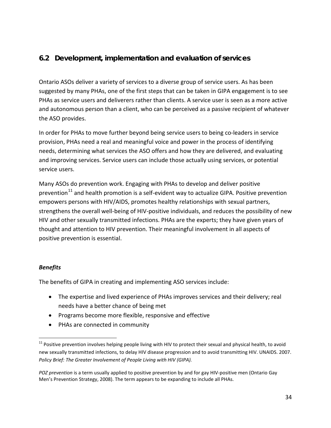## <span id="page-33-0"></span>**6.2 Development, implementation and evaluation of services**

Ontario ASOs deliver a variety of services to a diverse group of service users. As has been suggested by many PHAs, one of the first steps that can be taken in GIPA engagement is to see PHAs as service users and deliverers rather than clients. A service user is seen as a more active and autonomous person than a client, who can be perceived as a passive recipient of whatever the ASO provides.

In order for PHAs to move further beyond being service users to being co-leaders in service provision, PHAs need a real and meaningful voice and power in the process of identifying needs, determining what services the ASO offers and how they are delivered, and evaluating and improving services. Service users can include those actually using services, or potential service users.

Many ASOs do prevention work. Engaging with PHAs to develop and deliver positive prevention $^{11}$  $^{11}$  $^{11}$  and health promotion is a self-evident way to actualize GIPA. Positive prevention empowers persons with HIV/AIDS, promotes healthy relationships with sexual partners, strengthens the overall well-being of HIV-positive individuals, and reduces the possibility of new HIV and other sexually transmitted infections. PHAs are the experts; they have given years of thought and attention to HIV prevention. Their meaningful involvement in all aspects of positive prevention is essential.

#### *Benefits*

The benefits of GIPA in creating and implementing ASO services include:

- The expertise and lived experience of PHAs improves services and their delivery; real needs have a better chance of being met
- Programs become more flexible, responsive and effective
- PHAs are connected in community

<span id="page-33-1"></span> $11$  Positive prevention involves helping people living with HIV to protect their sexual and physical health, to avoid new sexually transmitted infections, to delay HIV disease progression and to avoid transmitting HIV. UNAIDS. 2007. *Policy Brief: The Greater Involvement of People Living with HIV (GIPA).*

*POZ prevention* is a term usually applied to positive prevention by and for gay HIV-positive men (Ontario Gay Men's Prevention Strategy, 2008). The term appears to be expanding to include all PHAs.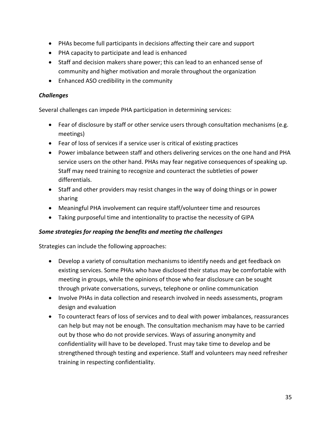- PHAs become full participants in decisions affecting their care and support
- PHA capacity to participate and lead is enhanced
- Staff and decision makers share power; this can lead to an enhanced sense of community and higher motivation and morale throughout the organization
- Enhanced ASO credibility in the community

#### *Challenges*

Several challenges can impede PHA participation in determining services:

- Fear of disclosure by staff or other service users through consultation mechanisms (e.g. meetings)
- Fear of loss of services if a service user is critical of existing practices
- Power imbalance between staff and others delivering services on the one hand and PHA service users on the other hand. PHAs may fear negative consequences of speaking up. Staff may need training to recognize and counteract the subtleties of power differentials.
- Staff and other providers may resist changes in the way of doing things or in power sharing
- Meaningful PHA involvement can require staff/volunteer time and resources
- Taking purposeful time and intentionality to practise the necessity of GIPA

#### *Some strategies for reaping the benefits and meeting the challenges*

Strategies can include the following approaches:

- Develop a variety of consultation mechanisms to identify needs and get feedback on existing services. Some PHAs who have disclosed their status may be comfortable with meeting in groups, while the opinions of those who fear disclosure can be sought through private conversations, surveys, telephone or online communication
- Involve PHAs in data collection and research involved in needs assessments, program design and evaluation
- To counteract fears of loss of services and to deal with power imbalances, reassurances can help but may not be enough. The consultation mechanism may have to be carried out by those who do not provide services. Ways of assuring anonymity and confidentiality will have to be developed. Trust may take time to develop and be strengthened through testing and experience. Staff and volunteers may need refresher training in respecting confidentiality.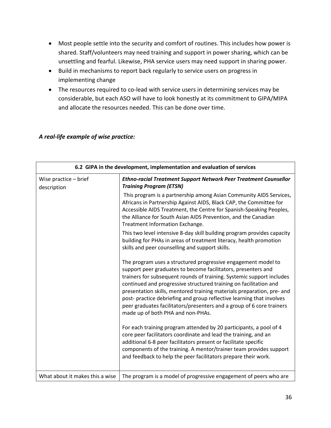- Most people settle into the security and comfort of routines. This includes how power is shared. Staff/volunteers may need training and support in power sharing, which can be unsettling and fearful. Likewise, PHA service users may need support in sharing power.
- Build in mechanisms to report back regularly to service users on progress in implementing change
- The resources required to co-lead with service users in determining services may be considerable, but each ASO will have to look honestly at its commitment to GIPA/MIPA and allocate the resources needed. This can be done over time.

#### **6.2 GIPA in the development, implementation and evaluation of services** Wise practice – brief description *Ethno-racial Treatment Support Network Peer Treatment Counsellor Training Program (ETSN)* This program is a partnership among Asian Community AIDS Services, Africans in Partnership Against AIDS, Black CAP, the Committee for Accessible AIDS Treatment, the Centre for Spanish-Speaking Peoples, the Alliance for South Asian AIDS Prevention, and the Canadian Treatment Information Exchange. This two level intensive 8-day skill building program provides capacity building for PHAs in areas of treatment literacy, health promotion skills and peer counselling and support skills. The program uses a structured progressive engagement model to support peer graduates to become facilitators, presenters and trainers for subsequent rounds of training. Systemic support includes continued and progressive structured training on facilitation and presentation skills, mentored training materials preparation, pre- and post- practice debriefing and group reflective learning that involves peer graduates facilitators/presenters and a group of 6 core trainers made up of both PHA and non-PHAs. For each training program attended by 20 participants, a pool of 4 core peer facilitators coordinate and lead the training, and an additional 6-8 peer facilitators present or facilitate specific components of the training. A mentor/trainer team provides support and feedback to help the peer facilitators prepare their work. What about it makes this a wise  $\vert$  The program is a model of progressive engagement of peers who are

#### *A real-life example of wise practice:*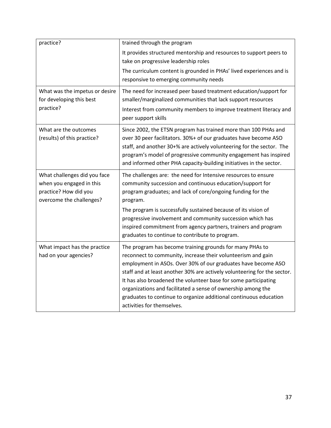| practice?                                                                                                     | trained through the program                                                                                                                                                                                                                                                                                                                                                                                                                                                                                 |
|---------------------------------------------------------------------------------------------------------------|-------------------------------------------------------------------------------------------------------------------------------------------------------------------------------------------------------------------------------------------------------------------------------------------------------------------------------------------------------------------------------------------------------------------------------------------------------------------------------------------------------------|
|                                                                                                               | It provides structured mentorship and resources to support peers to                                                                                                                                                                                                                                                                                                                                                                                                                                         |
|                                                                                                               | take on progressive leadership roles                                                                                                                                                                                                                                                                                                                                                                                                                                                                        |
|                                                                                                               | The curriculum content is grounded in PHAs' lived experiences and is                                                                                                                                                                                                                                                                                                                                                                                                                                        |
|                                                                                                               | responsive to emerging community needs                                                                                                                                                                                                                                                                                                                                                                                                                                                                      |
| What was the impetus or desire                                                                                | The need for increased peer based treatment education/support for                                                                                                                                                                                                                                                                                                                                                                                                                                           |
| for developing this best                                                                                      | smaller/marginalized communities that lack support resources                                                                                                                                                                                                                                                                                                                                                                                                                                                |
| practice?                                                                                                     | Interest from community members to improve treatment literacy and<br>peer support skills                                                                                                                                                                                                                                                                                                                                                                                                                    |
| What are the outcomes<br>(results) of this practice?                                                          | Since 2002, the ETSN program has trained more than 100 PHAs and<br>over 30 peer facilitators. 30%+ of our graduates have become ASO<br>staff, and another 30+% are actively volunteering for the sector. The<br>program's model of progressive community engagement has inspired<br>and informed other PHA capacity-building initiatives in the sector.                                                                                                                                                     |
| What challenges did you face<br>when you engaged in this<br>practice? How did you<br>overcome the challenges? | The challenges are: the need for Intensive resources to ensure<br>community succession and continuous education/support for<br>program graduates; and lack of core/ongoing funding for the<br>program.                                                                                                                                                                                                                                                                                                      |
|                                                                                                               | The program is successfully sustained because of its vision of<br>progressive involvement and community succession which has<br>inspired commitment from agency partners, trainers and program<br>graduates to continue to contribute to program.                                                                                                                                                                                                                                                           |
| What impact has the practice<br>had on your agencies?                                                         | The program has become training grounds for many PHAs to<br>reconnect to community, increase their volunteerism and gain<br>employment in ASOs. Over 30% of our graduates have become ASO<br>staff and at least another 30% are actively volunteering for the sector.<br>It has also broadened the volunteer base for some participating<br>organizations and facilitated a sense of ownership among the<br>graduates to continue to organize additional continuous education<br>activities for themselves. |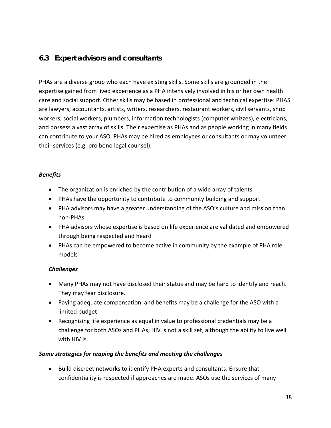## **6.3 Expert advisors and consultants**

PHAs are a diverse group who each have existing skills. Some skills are grounded in the expertise gained from lived experience as a PHA intensively involved in his or her own health care and social support. Other skills may be based in professional and technical expertise: PHAS are lawyers, accountants, artists, writers, researchers, restaurant workers, civil servants, shop workers, social workers, plumbers, information technologists (computer whizzes), electricians, and possess a vast array of skills. Their expertise as PHAs and as people working in many fields can contribute to your ASO. PHAs may be hired as employees or consultants or may volunteer their services (e.g. pro bono legal counsel).

#### *Benefits*

- The organization is enriched by the contribution of a wide array of talents
- PHAs have the opportunity to contribute to community building and support
- PHA advisors may have a greater understanding of the ASO's culture and mission than non-PHAs
- PHA advisors whose expertise is based on life experience are validated and empowered through being respected and heard
- PHAs can be empowered to become active in community by the example of PHA role models

## *Challenges*

- Many PHAs may not have disclosed their status and may be hard to identify and reach. They may fear disclosure.
- Paying adequate compensation and benefits may be a challenge for the ASO with a limited budget
- Recognizing life experience as equal in value to professional credentials may be a challenge for both ASOs and PHAs; HIV is not a skill set, although the ability to live well with HIV is.

## *Some strategies for reaping the benefits and meeting the challenges*

• Build discreet networks to identify PHA experts and consultants. Ensure that confidentiality is respected if approaches are made. ASOs use the services of many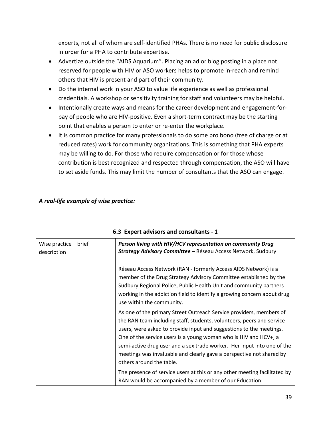experts, not all of whom are self-identified PHAs. There is no need for public disclosure in order for a PHA to contribute expertise.

- Advertize outside the "AIDS Aquarium". Placing an ad or blog posting in a place not reserved for people with HIV or ASO workers helps to promote in-reach and remind others that HIV is present and part of their community.
- Do the internal work in your ASO to value life experience as well as professional credentials. A workshop or sensitivity training for staff and volunteers may be helpful.
- Intentionally create ways and means for the career development and engagement-forpay of people who are HIV-positive. Even a short-term contract may be the starting point that enables a person to enter or re-enter the workplace.
- It is common practice for many professionals to do some pro bono (free of charge or at reduced rates) work for community organizations. This is something that PHA experts may be willing to do. For those who require compensation or for those whose contribution is best recognized and respected through compensation, the ASO will have to set aside funds. This may limit the number of consultants that the ASO can engage.

| 6.3 Expert advisors and consultants - 1 |                                                                                                                                                                                                                                                                                                                                                                                                                                                                        |
|-----------------------------------------|------------------------------------------------------------------------------------------------------------------------------------------------------------------------------------------------------------------------------------------------------------------------------------------------------------------------------------------------------------------------------------------------------------------------------------------------------------------------|
| Wise practice $-$ brief<br>description  | Person living with HIV/HCV representation on community Drug<br>Strategy Advisory Committee - Réseau Access Network, Sudbury                                                                                                                                                                                                                                                                                                                                            |
|                                         | Réseau Access Network (RAN - formerly Access AIDS Network) is a<br>member of the Drug Strategy Advisory Committee established by the<br>Sudbury Regional Police, Public Health Unit and community partners<br>working in the addiction field to identify a growing concern about drug<br>use within the community.                                                                                                                                                     |
|                                         | As one of the primary Street Outreach Service providers, members of<br>the RAN team including staff, students, volunteers, peers and service<br>users, were asked to provide input and suggestions to the meetings.<br>One of the service users is a young woman who is HIV and HCV+, a<br>semi-active drug user and a sex trade worker. Her input into one of the<br>meetings was invaluable and clearly gave a perspective not shared by<br>others around the table. |
|                                         | The presence of service users at this or any other meeting facilitated by<br>RAN would be accompanied by a member of our Education                                                                                                                                                                                                                                                                                                                                     |

## *A real-life example of wise practice:*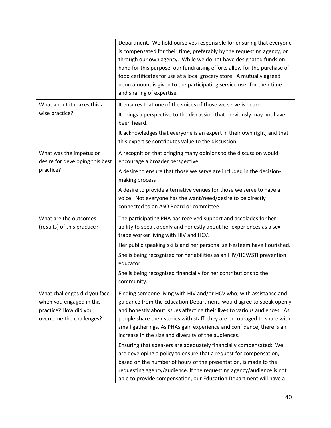|                                                                                                               | Department. We hold ourselves responsible for ensuring that everyone<br>is compensated for their time, preferably by the requesting agency, or<br>through our own agency. While we do not have designated funds on<br>hand for this purpose, our fundraising efforts allow for the purchase of<br>food certificates for use at a local grocery store. A mutually agreed<br>upon amount is given to the participating service user for their time<br>and sharing of expertise. |
|---------------------------------------------------------------------------------------------------------------|-------------------------------------------------------------------------------------------------------------------------------------------------------------------------------------------------------------------------------------------------------------------------------------------------------------------------------------------------------------------------------------------------------------------------------------------------------------------------------|
| What about it makes this a                                                                                    | It ensures that one of the voices of those we serve is heard.                                                                                                                                                                                                                                                                                                                                                                                                                 |
| wise practice?                                                                                                | It brings a perspective to the discussion that previously may not have<br>been heard.                                                                                                                                                                                                                                                                                                                                                                                         |
|                                                                                                               | It acknowledges that everyone is an expert in their own right, and that<br>this expertise contributes value to the discussion.                                                                                                                                                                                                                                                                                                                                                |
| What was the impetus or<br>desire for developing this best                                                    | A recognition that bringing many opinions to the discussion would<br>encourage a broader perspective                                                                                                                                                                                                                                                                                                                                                                          |
| practice?                                                                                                     | A desire to ensure that those we serve are included in the decision-<br>making process                                                                                                                                                                                                                                                                                                                                                                                        |
|                                                                                                               | A desire to provide alternative venues for those we serve to have a<br>voice. Not everyone has the want/need/desire to be directly<br>connected to an ASO Board or committee.                                                                                                                                                                                                                                                                                                 |
| What are the outcomes<br>(results) of this practice?                                                          | The participating PHA has received support and accolades for her<br>ability to speak openly and honestly about her experiences as a sex<br>trade worker living with HIV and HCV.                                                                                                                                                                                                                                                                                              |
|                                                                                                               | Her public speaking skills and her personal self-esteem have flourished.                                                                                                                                                                                                                                                                                                                                                                                                      |
|                                                                                                               | She is being recognized for her abilities as an HIV/HCV/STI prevention<br>educator.                                                                                                                                                                                                                                                                                                                                                                                           |
|                                                                                                               | She is being recognized financially for her contributions to the<br>community.                                                                                                                                                                                                                                                                                                                                                                                                |
| What challenges did you face<br>when you engaged in this<br>practice? How did you<br>overcome the challenges? | Finding someone living with HIV and/or HCV who, with assistance and<br>guidance from the Education Department, would agree to speak openly<br>and honestly about issues affecting their lives to various audiences: As<br>people share their stories with staff, they are encouraged to share with<br>small gatherings. As PHAs gain experience and confidence, there is an<br>increase in the size and diversity of the audiences.                                           |
|                                                                                                               | Ensuring that speakers are adequately financially compensated: We<br>are developing a policy to ensure that a request for compensation,<br>based on the number of hours of the presentation, is made to the<br>requesting agency/audience. If the requesting agency/audience is not<br>able to provide compensation, our Education Department will have a                                                                                                                     |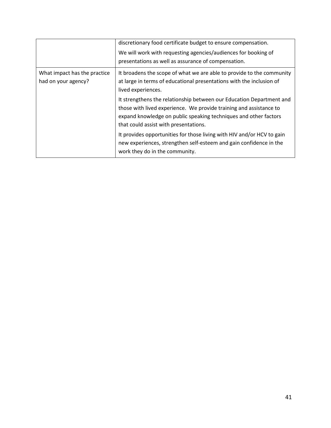|                                                     | discretionary food certificate budget to ensure compensation.<br>We will work with requesting agencies/audiences for booking of<br>presentations as well as assurance of compensation.                                                                  |
|-----------------------------------------------------|---------------------------------------------------------------------------------------------------------------------------------------------------------------------------------------------------------------------------------------------------------|
| What impact has the practice<br>had on your agency? | It broadens the scope of what we are able to provide to the community<br>at large in terms of educational presentations with the inclusion of<br>lived experiences.                                                                                     |
|                                                     | It strengthens the relationship between our Education Department and<br>those with lived experience. We provide training and assistance to<br>expand knowledge on public speaking techniques and other factors<br>that could assist with presentations. |
|                                                     | It provides opportunities for those living with HIV and/or HCV to gain<br>new experiences, strengthen self-esteem and gain confidence in the<br>work they do in the community.                                                                          |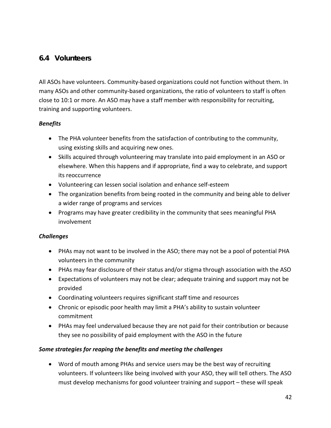## **6.4 Volunteers**

All ASOs have volunteers. Community-based organizations could not function without them. In many ASOs and other community-based organizations, the ratio of volunteers to staff is often close to 10:1 or more. An ASO may have a staff member with responsibility for recruiting, training and supporting volunteers.

## *Benefits*

- The PHA volunteer benefits from the satisfaction of contributing to the community, using existing skills and acquiring new ones.
- Skills acquired through volunteering may translate into paid employment in an ASO or elsewhere. When this happens and if appropriate, find a way to celebrate, and support its reoccurrence
- Volunteering can lessen social isolation and enhance self-esteem
- The organization benefits from being rooted in the community and being able to deliver a wider range of programs and services
- Programs may have greater credibility in the community that sees meaningful PHA involvement

## *Challenges*

- PHAs may not want to be involved in the ASO; there may not be a pool of potential PHA volunteers in the community
- PHAs may fear disclosure of their status and/or stigma through association with the ASO
- Expectations of volunteers may not be clear; adequate training and support may not be provided
- Coordinating volunteers requires significant staff time and resources
- Chronic or episodic poor health may limit a PHA's ability to sustain volunteer commitment
- PHAs may feel undervalued because they are not paid for their contribution or because they see no possibility of paid employment with the ASO in the future

## *Some strategies for reaping the benefits and meeting the challenges*

• Word of mouth among PHAs and service users may be the best way of recruiting volunteers. If volunteers like being involved with your ASO, they will tell others. The ASO must develop mechanisms for good volunteer training and support – these will speak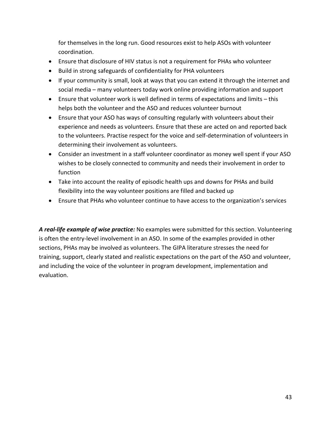for themselves in the long run. Good resources exist to help ASOs with volunteer coordination.

- Ensure that disclosure of HIV status is not a requirement for PHAs who volunteer
- Build in strong safeguards of confidentiality for PHA volunteers
- If your community is small, look at ways that you can extend it through the internet and social media – many volunteers today work online providing information and support
- Ensure that volunteer work is well defined in terms of expectations and limits this helps both the volunteer and the ASO and reduces volunteer burnout
- Ensure that your ASO has ways of consulting regularly with volunteers about their experience and needs as volunteers. Ensure that these are acted on and reported back to the volunteers. Practise respect for the voice and self-determination of volunteers in determining their involvement as volunteers.
- Consider an investment in a staff volunteer coordinator as money well spent if your ASO wishes to be closely connected to community and needs their involvement in order to function
- Take into account the reality of episodic health ups and downs for PHAs and build flexibility into the way volunteer positions are filled and backed up
- Ensure that PHAs who volunteer continue to have access to the organization's services

*A real-life example of wise practice:* No examples were submitted for this section. Volunteering is often the entry-level involvement in an ASO. In some of the examples provided in other sections, PHAs may be involved as volunteers. The GIPA literature stresses the need for training, support, clearly stated and realistic expectations on the part of the ASO and volunteer, and including the voice of the volunteer in program development, implementation and evaluation.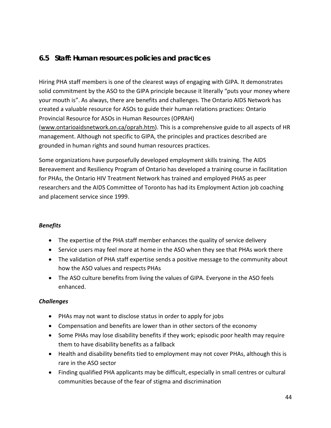## **6.5 Staff: Human resources policies and practices**

Hiring PHA staff members is one of the clearest ways of engaging with GIPA. It demonstrates solid commitment by the ASO to the GIPA principle because it literally "puts your money where your mouth is". As always, there are benefits and challenges. The Ontario AIDS Network has created a valuable resource for ASOs to guide their human relations practices: Ontario Provincial Resource for ASOs in Human Resources (OPRAH) [\(www.ontarioaidsnetwork.on.ca/oprah.htm\)](http://www.ontarioaidsnetwork.on.ca/oprah.htm). This is a comprehensive guide to all aspects of HR management. Although not specific to GIPA, the principles and practices described are grounded in human rights and sound human resources practices.

Some organizations have purposefully developed employment skills training. The AIDS Bereavement and Resiliency Program of Ontario has developed a training course in facilitation for PHAs, the Ontario HIV Treatment Network has trained and employed PHAS as peer researchers and the AIDS Committee of Toronto has had its Employment Action job coaching and placement service since 1999.

## *Benefits*

- The expertise of the PHA staff member enhances the quality of service delivery
- Service users may feel more at home in the ASO when they see that PHAs work there
- The validation of PHA staff expertise sends a positive message to the community about how the ASO values and respects PHAs
- The ASO culture benefits from living the values of GIPA. Everyone in the ASO feels enhanced.

## *Challenges*

- PHAs may not want to disclose status in order to apply for jobs
- Compensation and benefits are lower than in other sectors of the economy
- Some PHAs may lose disability benefits if they work; episodic poor health may require them to have disability benefits as a fallback
- Health and disability benefits tied to employment may not cover PHAs, although this is rare in the ASO sector
- Finding qualified PHA applicants may be difficult, especially in small centres or cultural communities because of the fear of stigma and discrimination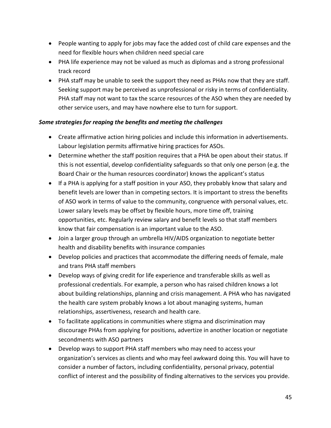- People wanting to apply for jobs may face the added cost of child care expenses and the need for flexible hours when children need special care
- PHA life experience may not be valued as much as diplomas and a strong professional track record
- PHA staff may be unable to seek the support they need as PHAs now that they are staff. Seeking support may be perceived as unprofessional or risky in terms of confidentiality. PHA staff may not want to tax the scarce resources of the ASO when they are needed by other service users, and may have nowhere else to turn for support.

## *Some strategies for reaping the benefits and meeting the challenges*

- Create affirmative action hiring policies and include this information in advertisements. Labour legislation permits affirmative hiring practices for ASOs.
- Determine whether the staff position requires that a PHA be open about their status. If this is not essential, develop confidentiality safeguards so that only one person (e.g. the Board Chair or the human resources coordinator) knows the applicant's status
- If a PHA is applying for a staff position in your ASO, they probably know that salary and benefit levels are lower than in competing sectors. It is important to stress the benefits of ASO work in terms of value to the community, congruence with personal values, etc. Lower salary levels may be offset by flexible hours, more time off, training opportunities, etc. Regularly review salary and benefit levels so that staff members know that fair compensation is an important value to the ASO.
- Join a larger group through an umbrella HIV/AIDS organization to negotiate better health and disability benefits with insurance companies
- Develop policies and practices that accommodate the differing needs of female, male and trans PHA staff members
- Develop ways of giving credit for life experience and transferable skills as well as professional credentials. For example, a person who has raised children knows a lot about building relationships, planning and crisis management. A PHA who has navigated the health care system probably knows a lot about managing systems, human relationships, assertiveness, research and health care.
- To facilitate applications in communities where stigma and discrimination may discourage PHAs from applying for positions, advertize in another location or negotiate secondments with ASO partners
- Develop ways to support PHA staff members who may need to access your organization's services as clients and who may feel awkward doing this. You will have to consider a number of factors, including confidentiality, personal privacy, potential conflict of interest and the possibility of finding alternatives to the services you provide.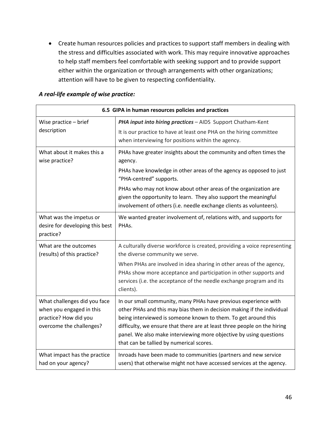• Create human resources policies and practices to support staff members in dealing with the stress and difficulties associated with work. This may require innovative approaches to help staff members feel comfortable with seeking support and to provide support either within the organization or through arrangements with other organizations; attention will have to be given to respecting confidentiality.

| 6.5 GIPA in human resources policies and practices                                                            |                                                                                                                                                                                                                                                                                                                                                                                                           |
|---------------------------------------------------------------------------------------------------------------|-----------------------------------------------------------------------------------------------------------------------------------------------------------------------------------------------------------------------------------------------------------------------------------------------------------------------------------------------------------------------------------------------------------|
| Wise practice - brief                                                                                         | PHA input into hiring practices - AIDS Support Chatham-Kent                                                                                                                                                                                                                                                                                                                                               |
| description                                                                                                   | It is our practice to have at least one PHA on the hiring committee<br>when interviewing for positions within the agency.                                                                                                                                                                                                                                                                                 |
| What about it makes this a<br>wise practice?                                                                  | PHAs have greater insights about the community and often times the<br>agency.                                                                                                                                                                                                                                                                                                                             |
|                                                                                                               | PHAs have knowledge in other areas of the agency as opposed to just<br>"PHA-centred" supports.                                                                                                                                                                                                                                                                                                            |
|                                                                                                               | PHAs who may not know about other areas of the organization are<br>given the opportunity to learn. They also support the meaningful<br>involvement of others (i.e. needle exchange clients as volunteers).                                                                                                                                                                                                |
| What was the impetus or<br>desire for developing this best<br>practice?                                       | We wanted greater involvement of, relations with, and supports for<br>PHAs.                                                                                                                                                                                                                                                                                                                               |
| What are the outcomes<br>(results) of this practice?                                                          | A culturally diverse workforce is created, providing a voice representing<br>the diverse community we serve.                                                                                                                                                                                                                                                                                              |
|                                                                                                               | When PHAs are involved in idea sharing in other areas of the agency,<br>PHAs show more acceptance and participation in other supports and<br>services (i.e. the acceptance of the needle exchange program and its<br>clients).                                                                                                                                                                            |
| What challenges did you face<br>when you engaged in this<br>practice? How did you<br>overcome the challenges? | In our small community, many PHAs have previous experience with<br>other PHAs and this may bias them in decision making if the individual<br>being interviewed is someone known to them. To get around this<br>difficulty, we ensure that there are at least three people on the hiring<br>panel. We also make interviewing more objective by using questions<br>that can be tallied by numerical scores. |
| What impact has the practice<br>had on your agency?                                                           | Inroads have been made to communities (partners and new service<br>users) that otherwise might not have accessed services at the agency.                                                                                                                                                                                                                                                                  |

#### *A real-life example of wise practice:*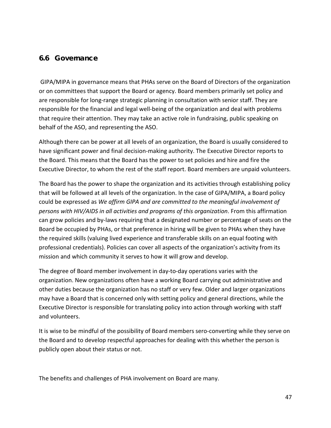## **6.6 Governance**

GIPA/MIPA in governance means that PHAs serve on the Board of Directors of the organization or on committees that support the Board or agency. Board members primarily set policy and are responsible for long-range strategic planning in consultation with senior staff. They are responsible for the financial and legal well-being of the organization and deal with problems that require their attention. They may take an active role in fundraising, public speaking on behalf of the ASO, and representing the ASO.

Although there can be power at all levels of an organization, the Board is usually considered to have significant power and final decision-making authority. The Executive Director reports to the Board. This means that the Board has the power to set policies and hire and fire the Executive Director, to whom the rest of the staff report. Board members are unpaid volunteers.

The Board has the power to shape the organization and its activities through establishing policy that will be followed at all levels of the organization. In the case of GIPA/MIPA, a Board policy could be expressed as *We affirm GIPA and are committed to the meaningful involvement of persons with HIV/AIDS in all activities and programs of this organization*. From this affirmation can grow policies and by-laws requiring that a designated number or percentage of seats on the Board be occupied by PHAs, or that preference in hiring will be given to PHAs when they have the required skills (valuing lived experience and transferable skills on an equal footing with professional credentials). Policies can cover all aspects of the organization's activity from its mission and which community it serves to how it will grow and develop.

The degree of Board member involvement in day-to-day operations varies with the organization. New organizations often have a working Board carrying out administrative and other duties because the organization has no staff or very few. Older and larger organizations may have a Board that is concerned only with setting policy and general directions, while the Executive Director is responsible for translating policy into action through working with staff and volunteers.

It is wise to be mindful of the possibility of Board members sero-converting while they serve on the Board and to develop respectful approaches for dealing with this whether the person is publicly open about their status or not.

The benefits and challenges of PHA involvement on Board are many.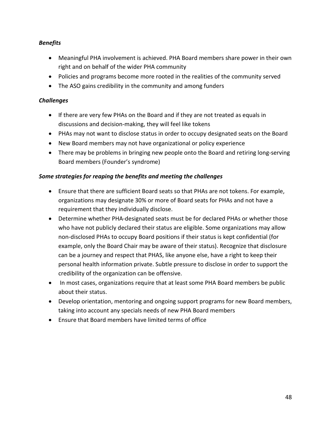## *Benefits*

- Meaningful PHA involvement is achieved. PHA Board members share power in their own right and on behalf of the wider PHA community
- Policies and programs become more rooted in the realities of the community served
- The ASO gains credibility in the community and among funders

## *Challenges*

- If there are very few PHAs on the Board and if they are not treated as equals in discussions and decision-making, they will feel like tokens
- PHAs may not want to disclose status in order to occupy designated seats on the Board
- New Board members may not have organizational or policy experience
- There may be problems in bringing new people onto the Board and retiring long-serving Board members (Founder's syndrome)

## *Some strategies for reaping the benefits and meeting the challenges*

- Ensure that there are sufficient Board seats so that PHAs are not tokens. For example, organizations may designate 30% or more of Board seats for PHAs and not have a requirement that they individually disclose.
- Determine whether PHA-designated seats must be for declared PHAs or whether those who have not publicly declared their status are eligible. Some organizations may allow non-disclosed PHAs to occupy Board positions if their status is kept confidential (for example, only the Board Chair may be aware of their status). Recognize that disclosure can be a journey and respect that PHAS, like anyone else, have a right to keep their personal health information private. Subtle pressure to disclose in order to support the credibility of the organization can be offensive.
- In most cases, organizations require that at least some PHA Board members be public about their status.
- Develop orientation, mentoring and ongoing support programs for new Board members, taking into account any specials needs of new PHA Board members
- Ensure that Board members have limited terms of office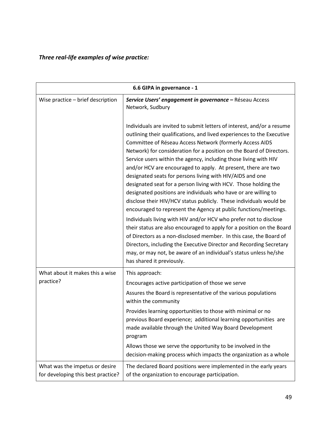# *Three real-life examples of wise practice:*

| 6.6 GIPA in governance - 1                                           |                                                                                                                                                                                                                                                                                                                                                                                                                                                                                                                                                                                                                                                                                                                                                                                                                                                                                                                                                                                                                                                                                                                                                                     |
|----------------------------------------------------------------------|---------------------------------------------------------------------------------------------------------------------------------------------------------------------------------------------------------------------------------------------------------------------------------------------------------------------------------------------------------------------------------------------------------------------------------------------------------------------------------------------------------------------------------------------------------------------------------------------------------------------------------------------------------------------------------------------------------------------------------------------------------------------------------------------------------------------------------------------------------------------------------------------------------------------------------------------------------------------------------------------------------------------------------------------------------------------------------------------------------------------------------------------------------------------|
| Wise practice - brief description                                    | Service Users' engagement in governance - Réseau Access<br>Network, Sudbury                                                                                                                                                                                                                                                                                                                                                                                                                                                                                                                                                                                                                                                                                                                                                                                                                                                                                                                                                                                                                                                                                         |
|                                                                      | Individuals are invited to submit letters of interest, and/or a resume<br>outlining their qualifications, and lived experiences to the Executive<br>Committee of Réseau Access Network (formerly Access AIDS<br>Network) for consideration for a position on the Board of Directors.<br>Service users within the agency, including those living with HIV<br>and/or HCV are encouraged to apply. At present, there are two<br>designated seats for persons living with HIV/AIDS and one<br>designated seat for a person living with HCV. Those holding the<br>designated positions are individuals who have or are willing to<br>disclose their HIV/HCV status publicly. These individuals would be<br>encouraged to represent the Agency at public functions/meetings.<br>Individuals living with HIV and/or HCV who prefer not to disclose<br>their status are also encouraged to apply for a position on the Board<br>of Directors as a non-disclosed member. In this case, the Board of<br>Directors, including the Executive Director and Recording Secretary<br>may, or may not, be aware of an individual's status unless he/she<br>has shared it previously. |
| What about it makes this a wise<br>practice?                         | This approach:<br>Encourages active participation of those we serve                                                                                                                                                                                                                                                                                                                                                                                                                                                                                                                                                                                                                                                                                                                                                                                                                                                                                                                                                                                                                                                                                                 |
|                                                                      | Assures the Board is representative of the various populations<br>within the community                                                                                                                                                                                                                                                                                                                                                                                                                                                                                                                                                                                                                                                                                                                                                                                                                                                                                                                                                                                                                                                                              |
|                                                                      | Provides learning opportunities to those with minimal or no<br>previous Board experience; additional learning opportunities are<br>made available through the United Way Board Development<br>program                                                                                                                                                                                                                                                                                                                                                                                                                                                                                                                                                                                                                                                                                                                                                                                                                                                                                                                                                               |
|                                                                      | Allows those we serve the opportunity to be involved in the<br>decision-making process which impacts the organization as a whole                                                                                                                                                                                                                                                                                                                                                                                                                                                                                                                                                                                                                                                                                                                                                                                                                                                                                                                                                                                                                                    |
| What was the impetus or desire<br>for developing this best practice? | The declared Board positions were implemented in the early years<br>of the organization to encourage participation.                                                                                                                                                                                                                                                                                                                                                                                                                                                                                                                                                                                                                                                                                                                                                                                                                                                                                                                                                                                                                                                 |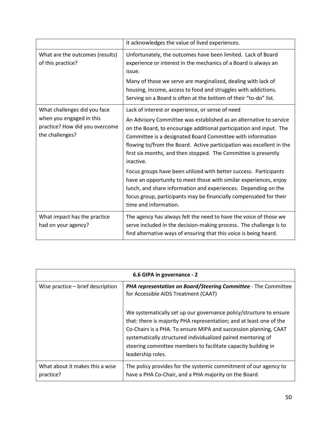|                                                                               | It acknowledges the value of lived experiences.                                                                                                                                                                                                                                                                                                               |
|-------------------------------------------------------------------------------|---------------------------------------------------------------------------------------------------------------------------------------------------------------------------------------------------------------------------------------------------------------------------------------------------------------------------------------------------------------|
| What are the outcomes (results)<br>of this practice?                          | Unfortunately, the outcomes have been limited. Lack of Board<br>experience or interest in the mechanics of a Board is always an<br>issue.                                                                                                                                                                                                                     |
|                                                                               | Many of those we serve are marginalized, dealing with lack of<br>housing, income, access to food and struggles with addictions.<br>Serving on a Board is often at the bottom of their "to-do" list.                                                                                                                                                           |
| What challenges did you face                                                  | Lack of interest or experience, or sense of need                                                                                                                                                                                                                                                                                                              |
| when you engaged in this<br>practice? How did you overcome<br>the challenges? | An Advisory Committee was established as an alternative to service<br>on the Board, to encourage additional participation and input. The<br>Committee is a designated Board Committee with information<br>flowing to/from the Board. Active participation was excellent in the<br>first six months, and then stopped. The Committee is presently<br>inactive. |
|                                                                               | Focus groups have been utilized with better success. Participants<br>have an opportunity to meet those with similar experiences, enjoy<br>lunch, and share information and experiences. Depending on the<br>focus group, participants may be financially compensated for their<br>time and information.                                                       |
| What impact has the practice<br>had on your agency?                           | The agency has always felt the need to have the voice of those we<br>serve included in the decision-making process. The challenge is to<br>find alternative ways of ensuring that this voice is being heard.                                                                                                                                                  |

| 6.6 GIPA in governance - 2                   |                                                                                                                                                                                                                                                                                                                                                                     |
|----------------------------------------------|---------------------------------------------------------------------------------------------------------------------------------------------------------------------------------------------------------------------------------------------------------------------------------------------------------------------------------------------------------------------|
| Wise practice - brief description            | <b>PHA representation on Board/Steering Committee - The Committee</b><br>for Accessible AIDS Treatment (CAAT)                                                                                                                                                                                                                                                       |
|                                              | We systematically set up our governance policy/structure to ensure<br>that: there is majority PHA representation; and at least one of the<br>Co-Chairs is a PHA. To ensure MIPA and succession planning, CAAT<br>systematically structured individualized paired mentoring of<br>steering committee members to facilitate capacity building in<br>leadership roles. |
| What about it makes this a wise<br>practice? | The policy provides for the systemic commitment of our agency to<br>have a PHA Co-Chair, and a PHA majority on the Board.                                                                                                                                                                                                                                           |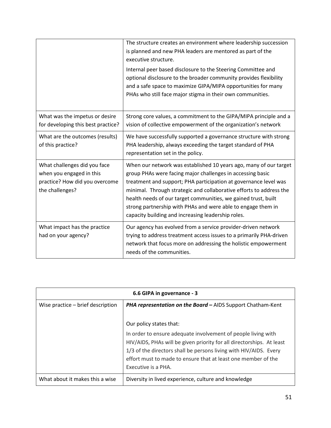|                                                                                                               | The structure creates an environment where leadership succession<br>is planned and new PHA leaders are mentored as part of the<br>executive structure.<br>Internal peer based disclosure to the Steering Committee and<br>optional disclosure to the broader community provides flexibility<br>and a safe space to maximize GIPA/MIPA opportunities for many<br>PHAs who still face major stigma in their own communities.                                         |
|---------------------------------------------------------------------------------------------------------------|--------------------------------------------------------------------------------------------------------------------------------------------------------------------------------------------------------------------------------------------------------------------------------------------------------------------------------------------------------------------------------------------------------------------------------------------------------------------|
| What was the impetus or desire<br>for developing this best practice?                                          | Strong core values, a commitment to the GIPA/MIPA principle and a<br>vision of collective empowerment of the organization's network                                                                                                                                                                                                                                                                                                                                |
| What are the outcomes (results)<br>of this practice?                                                          | We have successfully supported a governance structure with strong<br>PHA leadership, always exceeding the target standard of PHA<br>representation set in the policy.                                                                                                                                                                                                                                                                                              |
| What challenges did you face<br>when you engaged in this<br>practice? How did you overcome<br>the challenges? | When our network was established 10 years ago, many of our target<br>group PHAs were facing major challenges in accessing basic<br>treatment and support; PHA participation at governance level was<br>minimal. Through strategic and collaborative efforts to address the<br>health needs of our target communities, we gained trust, built<br>strong partnership with PHAs and were able to engage them in<br>capacity building and increasing leadership roles. |
| What impact has the practice<br>had on your agency?                                                           | Our agency has evolved from a service provider-driven network<br>trying to address treatment access issues to a primarily PHA-driven<br>network that focus more on addressing the holistic empowerment<br>needs of the communities.                                                                                                                                                                                                                                |

| 6.6 GIPA in governance - 3        |                                                                                                                                                                                                                                                                                                                                |
|-----------------------------------|--------------------------------------------------------------------------------------------------------------------------------------------------------------------------------------------------------------------------------------------------------------------------------------------------------------------------------|
| Wise practice - brief description | <b>PHA representation on the Board - AIDS Support Chatham-Kent</b>                                                                                                                                                                                                                                                             |
|                                   | Our policy states that:<br>In order to ensure adequate involvement of people living with<br>HIV/AIDS, PHAs will be given priority for all directorships. At least<br>1/3 of the directors shall be persons living with HIV/AIDS. Every<br>effort must to made to ensure that at least one member of the<br>Executive is a PHA. |
| What about it makes this a wise   | Diversity in lived experience, culture and knowledge                                                                                                                                                                                                                                                                           |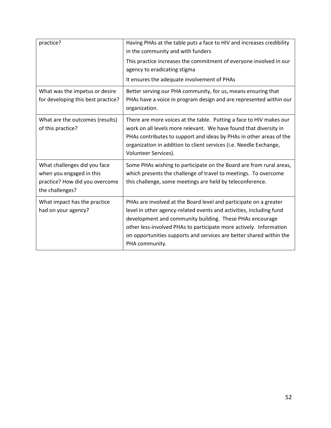| practice?                                                                                                     | Having PHAs at the table puts a face to HIV and increases credibility<br>in the community and with funders<br>This practice increases the commitment of everyone involved in our<br>agency to eradicating stigma<br>It ensures the adequate involvement of PHAs                                                                                                     |
|---------------------------------------------------------------------------------------------------------------|---------------------------------------------------------------------------------------------------------------------------------------------------------------------------------------------------------------------------------------------------------------------------------------------------------------------------------------------------------------------|
| What was the impetus or desire<br>for developing this best practice?                                          | Better serving our PHA community, for us, means ensuring that<br>PHAs have a voice in program design and are represented within our<br>organization.                                                                                                                                                                                                                |
| What are the outcomes (results)<br>of this practice?                                                          | There are more voices at the table. Putting a face to HIV makes our<br>work on all levels more relevant. We have found that diversity in<br>PHAs contributes to support and ideas by PHAs in other areas of the<br>organization in addition to client services (i.e. Needle Exchange,<br>Volunteer Services).                                                       |
| What challenges did you face<br>when you engaged in this<br>practice? How did you overcome<br>the challenges? | Some PHAs wishing to participate on the Board are from rural areas,<br>which presents the challenge of travel to meetings. To overcome<br>this challenge, some meetings are held by teleconference.                                                                                                                                                                 |
| What impact has the practice<br>had on your agency?                                                           | PHAs are involved at the Board level and participate on a greater<br>level in other agency-related events and activities, including fund<br>development and community building. These PHAs encourage<br>other less-involved PHAs to participate more actively. Information<br>on opportunities supports and services are better shared within the<br>PHA community. |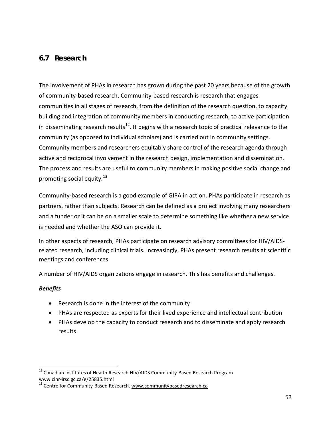## **6.7 Research**

The involvement of PHAs in research has grown during the past 20 years because of the growth of community-based research. Community-based research is research that engages communities in all stages of research, from the definition of the research question, to capacity building and integration of community members in conducting research, to active participation in disseminating research results<sup>[12](#page-52-0)</sup>. It begins with a research topic of practical relevance to the community (as opposed to individual scholars) and is carried out in community settings. Community members and researchers equitably share control of the research agenda through active and reciprocal involvement in the research design, implementation and dissemination. The process and results are useful to community members in making positive social change and promoting social equity.<sup>[13](#page-52-1)</sup>

Community-based research is a good example of GIPA in action. PHAs participate in research as partners, rather than subjects. Research can be defined as a project involving many researchers and a funder or it can be on a smaller scale to determine something like whether a new service is needed and whether the ASO can provide it.

In other aspects of research, PHAs participate on research advisory committees for HIV/AIDSrelated research, including clinical trials. Increasingly, PHAs present research results at scientific meetings and conferences.

A number of HIV/AIDS organizations engage in research. This has benefits and challenges.

## *Benefits*

- Research is done in the interest of the community
- PHAs are respected as experts for their lived experience and intellectual contribution
- PHAs develop the capacity to conduct research and to disseminate and apply research results

<span id="page-52-0"></span> $12$  Canadian Institutes of Health Research HIV/AIDS Community-Based Research Program [www.cihr-irsc.gc.ca/e/25835.html](http://www.cihr-irsc.gc.ca/e/25835.html)<br><sup>13</sup> Centre for Community-Based Research. [www.communitybasedresearch.ca](http://www.communitybasedresearch.ca/)

<span id="page-52-1"></span>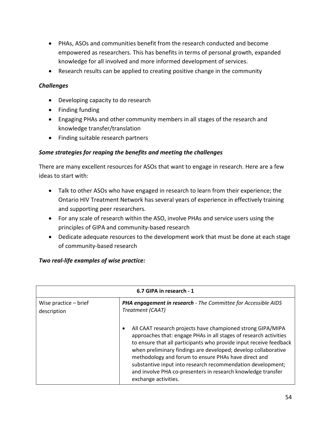- PHAs, ASOs and communities benefit from the research conducted and become empowered as researchers. This has benefits in terms of personal growth, expanded knowledge for all involved and more informed development of services.
- Research results can be applied to creating positive change in the community

## *Challenges*

- Developing capacity to do research
- Finding funding
- Engaging PHAs and other community members in all stages of the research and knowledge transfer/translation
- Finding suitable research partners

#### *Some strategies for reaping the benefits and meeting the challenges*

There are many excellent resources for ASOs that want to engage in research. Here are a few ideas to start with:

- Talk to other ASOs who have engaged in research to learn from their experience; the Ontario HIV Treatment Network has several years of experience in effectively training and supporting peer researchers.
- For any scale of research within the ASO, involve PHAs and service users using the principles of GIPA and community-based research
- Dedicate adequate resources to the development work that must be done at each stage of community-based research

## *Two real-life examples of wise practice:*

| 6.7 GIPA in research - 1               |                                                                                                                                                                                                                                                                                                                                                                                                                                                                                                      |
|----------------------------------------|------------------------------------------------------------------------------------------------------------------------------------------------------------------------------------------------------------------------------------------------------------------------------------------------------------------------------------------------------------------------------------------------------------------------------------------------------------------------------------------------------|
| Wise practice $-$ brief<br>description | PHA engagement in research - The Committee for Accessible AIDS<br>Treatment (CAAT)                                                                                                                                                                                                                                                                                                                                                                                                                   |
|                                        | All CAAT research projects have championed strong GIPA/MIPA<br>$\bullet$<br>approaches that: engage PHAs in all stages of research activities<br>to ensure that all participants who provide input receive feedback<br>when preliminary findings are developed; develop collaborative<br>methodology and forum to ensure PHAs have direct and<br>substantive input into research recommendation development;<br>and involve PHA co-presenters in research knowledge transfer<br>exchange activities. |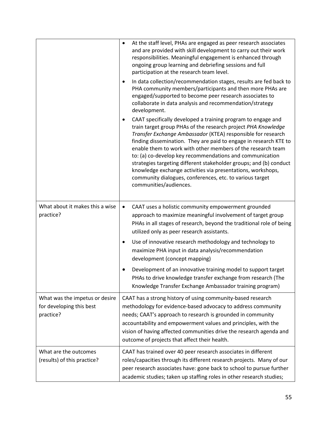|                                                                         | At the staff level, PHAs are engaged as peer research associates<br>$\bullet$<br>and are provided with skill development to carry out their work<br>responsibilities. Meaningful engagement is enhanced through<br>ongoing group learning and debriefing sessions and full<br>participation at the research team level.                                                                                                                                                                                                                                                                                                  |  |
|-------------------------------------------------------------------------|--------------------------------------------------------------------------------------------------------------------------------------------------------------------------------------------------------------------------------------------------------------------------------------------------------------------------------------------------------------------------------------------------------------------------------------------------------------------------------------------------------------------------------------------------------------------------------------------------------------------------|--|
|                                                                         | In data collection/recommendation stages, results are fed back to<br>٠<br>PHA community members/participants and then more PHAs are<br>engaged/supported to become peer research associates to<br>collaborate in data analysis and recommendation/strategy<br>development.                                                                                                                                                                                                                                                                                                                                               |  |
|                                                                         | CAAT specifically developed a training program to engage and<br>train target group PHAs of the research project PHA Knowledge<br>Transfer Exchange Ambassador (KTEA) responsible for research<br>finding dissemination. They are paid to engage in research KTE to<br>enable them to work with other members of the research team<br>to: (a) co-develop key recommendations and communication<br>strategies targeting different stakeholder groups; and (b) conduct<br>knowledge exchange activities via presentations, workshops,<br>community dialogues, conferences, etc. to various target<br>communities/audiences. |  |
| What about it makes this a wise<br>practice?                            | CAAT uses a holistic community empowerment grounded<br>$\bullet$<br>approach to maximize meaningful involvement of target group<br>PHAs in all stages of research, beyond the traditional role of being<br>utilized only as peer research assistants.                                                                                                                                                                                                                                                                                                                                                                    |  |
|                                                                         | Use of innovative research methodology and technology to<br>$\bullet$<br>maximize PHA input in data analysis/recommendation<br>development (concept mapping)                                                                                                                                                                                                                                                                                                                                                                                                                                                             |  |
|                                                                         | Development of an innovative training model to support target<br>PHAs to drive knowledge transfer exchange from research (The<br>Knowledge Transfer Exchange Ambassador training program)                                                                                                                                                                                                                                                                                                                                                                                                                                |  |
| What was the impetus or desire<br>for developing this best<br>practice? | CAAT has a strong history of using community-based research<br>methodology for evidence-based advocacy to address community<br>needs; CAAT's approach to research is grounded in community<br>accountability and empowerment values and principles, with the<br>vision of having affected communities drive the research agenda and<br>outcome of projects that affect their health.                                                                                                                                                                                                                                     |  |
| What are the outcomes<br>(results) of this practice?                    | CAAT has trained over 40 peer research associates in different<br>roles/capacities through its different research projects. Many of our<br>peer research associates have: gone back to school to pursue further<br>academic studies; taken up staffing roles in other research studies;                                                                                                                                                                                                                                                                                                                                  |  |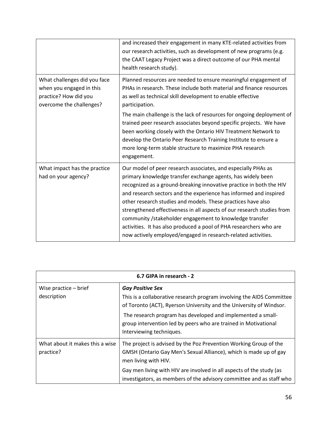|                                                                                                               | and increased their engagement in many KTE-related activities from<br>our research activities, such as development of new programs (e.g.<br>the CAAT Legacy Project was a direct outcome of our PHA mental<br>health research study).                                                                                                                                                                                                                                                                                                                                                                                |
|---------------------------------------------------------------------------------------------------------------|----------------------------------------------------------------------------------------------------------------------------------------------------------------------------------------------------------------------------------------------------------------------------------------------------------------------------------------------------------------------------------------------------------------------------------------------------------------------------------------------------------------------------------------------------------------------------------------------------------------------|
| What challenges did you face<br>when you engaged in this<br>practice? How did you<br>overcome the challenges? | Planned resources are needed to ensure meaningful engagement of<br>PHAs in research. These include both material and finance resources<br>as well as technical skill development to enable effective<br>participation.                                                                                                                                                                                                                                                                                                                                                                                               |
|                                                                                                               | The main challenge is the lack of resources for ongoing deployment of<br>trained peer research associates beyond specific projects. We have<br>been working closely with the Ontario HIV Treatment Network to<br>develop the Ontario Peer Research Training Institute to ensure a<br>more long-term stable structure to maximize PHA research<br>engagement.                                                                                                                                                                                                                                                         |
| What impact has the practice<br>had on your agency?                                                           | Our model of peer research associates, and especially PHAs as<br>primary knowledge transfer exchange agents, has widely been<br>recognized as a ground-breaking innovative practice in both the HIV<br>and research sectors and the experience has informed and inspired<br>other research studies and models. These practices have also<br>strengthened effectiveness in all aspects of our research studies from<br>community /stakeholder engagement to knowledge transfer<br>activities. It has also produced a pool of PHA researchers who are<br>now actively employed/engaged in research-related activities. |

| 6.7 GIPA in research - 2                     |                                                                                                                                                                |  |  |
|----------------------------------------------|----------------------------------------------------------------------------------------------------------------------------------------------------------------|--|--|
| Wise practice $-$ brief                      | <b>Gay Positive Sex</b>                                                                                                                                        |  |  |
| description                                  | This is a collaborative research program involving the AIDS Committee<br>of Toronto (ACT), Ryerson University and the University of Windsor.                   |  |  |
|                                              | The research program has developed and implemented a small-<br>group intervention led by peers who are trained in Motivational<br>Interviewing techniques.     |  |  |
| What about it makes this a wise<br>practice? | The project is advised by the Poz Prevention Working Group of the<br>GMSH (Ontario Gay Men's Sexual Alliance), which is made up of gay<br>men living with HIV. |  |  |
|                                              | Gay men living with HIV are involved in all aspects of the study (as<br>investigators, as members of the advisory committee and as staff who                   |  |  |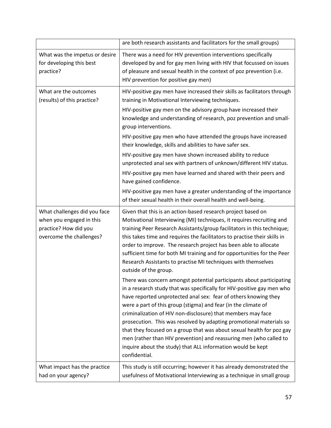|                                                                                                               | are both research assistants and facilitators for the small groups)                                                                                                                                                                                                                                                                                                                                                                                                                                                                                                                                                                                       |  |  |
|---------------------------------------------------------------------------------------------------------------|-----------------------------------------------------------------------------------------------------------------------------------------------------------------------------------------------------------------------------------------------------------------------------------------------------------------------------------------------------------------------------------------------------------------------------------------------------------------------------------------------------------------------------------------------------------------------------------------------------------------------------------------------------------|--|--|
| What was the impetus or desire<br>for developing this best<br>practice?                                       | There was a need for HIV prevention interventions specifically<br>developed by and for gay men living with HIV that focussed on issues<br>of pleasure and sexual health in the context of poz prevention (i.e.<br>HIV prevention for positive gay men)                                                                                                                                                                                                                                                                                                                                                                                                    |  |  |
| What are the outcomes<br>(results) of this practice?                                                          | HIV-positive gay men have increased their skills as facilitators through<br>training in Motivational Interviewing techniques.                                                                                                                                                                                                                                                                                                                                                                                                                                                                                                                             |  |  |
|                                                                                                               | HIV-positive gay men on the advisory group have increased their<br>knowledge and understanding of research, poz prevention and small-<br>group interventions.                                                                                                                                                                                                                                                                                                                                                                                                                                                                                             |  |  |
|                                                                                                               | HIV-positive gay men who have attended the groups have increased<br>their knowledge, skills and abilities to have safer sex.                                                                                                                                                                                                                                                                                                                                                                                                                                                                                                                              |  |  |
|                                                                                                               | HIV-positive gay men have shown increased ability to reduce<br>unprotected anal sex with partners of unknown/different HIV status.                                                                                                                                                                                                                                                                                                                                                                                                                                                                                                                        |  |  |
|                                                                                                               | HIV-positive gay men have learned and shared with their peers and<br>have gained confidence.                                                                                                                                                                                                                                                                                                                                                                                                                                                                                                                                                              |  |  |
|                                                                                                               | HIV-positive gay men have a greater understanding of the importance<br>of their sexual health in their overall health and well-being.                                                                                                                                                                                                                                                                                                                                                                                                                                                                                                                     |  |  |
| What challenges did you face<br>when you engaged in this<br>practice? How did you<br>overcome the challenges? | Given that this is an action-based research project based on<br>Motivational Interviewing (MI) techniques, it requires recruiting and<br>training Peer Research Assistants/group facilitators in this technique;<br>this takes time and requires the facilitators to practise their skills in<br>order to improve. The research project has been able to allocate<br>sufficient time for both MI training and for opportunities for the Peer<br>Research Assistants to practise MI techniques with themselves<br>outside of the group.                                                                                                                    |  |  |
|                                                                                                               | There was concern amongst potential participants about participating<br>in a research study that was specifically for HIV-positive gay men who<br>have reported unprotected anal sex: fear of others knowing they<br>were a part of this group (stigma) and fear (in the climate of<br>criminalization of HIV non-disclosure) that members may face<br>prosecution. This was resolved by adapting promotional materials so<br>that they focused on a group that was about sexual health for poz gay<br>men (rather than HIV prevention) and reassuring men (who called to<br>inquire about the study) that ALL information would be kept<br>confidential. |  |  |
| What impact has the practice<br>had on your agency?                                                           | This study is still occurring; however it has already demonstrated the<br>usefulness of Motivational Interviewing as a technique in small group                                                                                                                                                                                                                                                                                                                                                                                                                                                                                                           |  |  |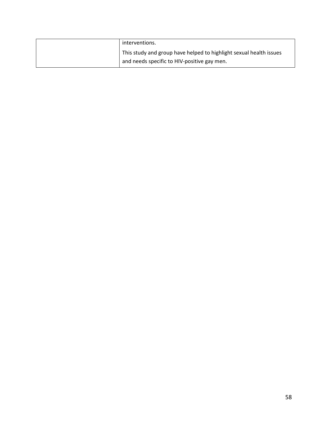| interventions.                                                     |
|--------------------------------------------------------------------|
| This study and group have helped to highlight sexual health issues |
| and needs specific to HIV-positive gay men.                        |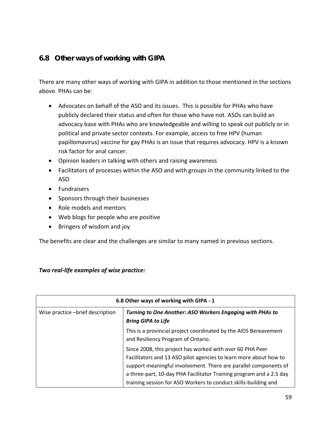## **6.8 Other ways of working with GIPA**

There are many other ways of working with GIPA in addition to those mentioned in the sections above. PHAs can be:

- Advocates on behalf of the ASO and its issues. This is possible for PHAs who have publicly declared their status and often for those who have not. ASOs can build an advocacy base with PHAs who are knowledgeable and willing to speak out publicly or in political and private sector contexts. For example, access to free HPV (human papillomavirus) vaccine for gay PHAs is an issue that requires advocacy. HPV is a known risk factor for anal cancer.
- Opinion leaders in talking with others and raising awareness
- Facilitators of processes within the ASO and with groups in the community linked to the ASO
- Fundraisers
- Sponsors through their businesses
- Role models and mentors
- Web blogs for people who are positive
- Bringers of wisdom and joy

The benefits are clear and the challenges are similar to many named in previous sections.

## *Two real-life examples of wise practice:*

| 6.8 Other ways of working with GIPA - 1 |                                                                                                                                                                                                                                                                                                                                              |  |  |
|-----------------------------------------|----------------------------------------------------------------------------------------------------------------------------------------------------------------------------------------------------------------------------------------------------------------------------------------------------------------------------------------------|--|--|
| Wise practice -brief description        | Turning to One Another: ASO Workers Engaging with PHAs to<br><b>Bring GIPA to Life</b>                                                                                                                                                                                                                                                       |  |  |
|                                         | This is a provincial project coordinated by the AIDS Bereavement<br>and Resiliency Program of Ontario.                                                                                                                                                                                                                                       |  |  |
|                                         | Since 2008, this project has worked with over 60 PHA Peer<br>Facilitators and 13 ASO pilot agencies to learn more about how to<br>support meaningful involvement. There are parallel components of<br>a three-part, 10-day PHA Facilitator Training program and a 2.5 day<br>training session for ASO Workers to conduct skills-building and |  |  |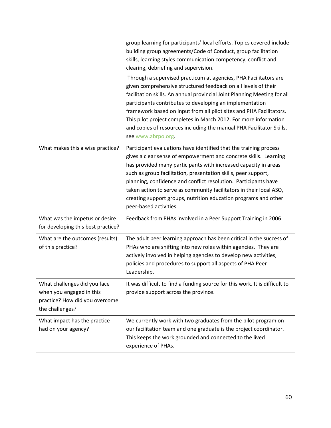|                                                                                                               | group learning for participants' local efforts. Topics covered include<br>building group agreements/Code of Conduct, group facilitation<br>skills, learning styles communication competency, conflict and<br>clearing, debriefing and supervision.                                                                                                                                                                                                                                                                  |
|---------------------------------------------------------------------------------------------------------------|---------------------------------------------------------------------------------------------------------------------------------------------------------------------------------------------------------------------------------------------------------------------------------------------------------------------------------------------------------------------------------------------------------------------------------------------------------------------------------------------------------------------|
|                                                                                                               | Through a supervised practicum at agencies, PHA Facilitators are<br>given comprehensive structured feedback on all levels of their<br>facilitation skills. An annual provincial Joint Planning Meeting for all<br>participants contributes to developing an implementation<br>framework based on input from all pilot sites and PHA Facilitators.<br>This pilot project completes in March 2012. For more information<br>and copies of resources including the manual PHA Facilitator Skills,<br>see www.abrpo.org. |
| What makes this a wise practice?                                                                              | Participant evaluations have identified that the training process<br>gives a clear sense of empowerment and concrete skills. Learning<br>has provided many participants with increased capacity in areas<br>such as group facilitation, presentation skills, peer support,<br>planning, confidence and conflict resolution. Participants have<br>taken action to serve as community facilitators in their local ASO,<br>creating support groups, nutrition education programs and other<br>peer-based activities.   |
| What was the impetus or desire<br>for developing this best practice?                                          | Feedback from PHAs involved in a Peer Support Training in 2006                                                                                                                                                                                                                                                                                                                                                                                                                                                      |
| What are the outcomes (results)<br>of this practice?                                                          | The adult peer learning approach has been critical in the success of<br>PHAs who are shifting into new roles within agencies. They are<br>actively involved in helping agencies to develop new activities,<br>policies and procedures to support all aspects of PHA Peer<br>Leadership.                                                                                                                                                                                                                             |
| What challenges did you face<br>when you engaged in this<br>practice? How did you overcome<br>the challenges? | It was difficult to find a funding source for this work. It is difficult to<br>provide support across the province.                                                                                                                                                                                                                                                                                                                                                                                                 |
| What impact has the practice<br>had on your agency?                                                           | We currently work with two graduates from the pilot program on<br>our facilitation team and one graduate is the project coordinator.<br>This keeps the work grounded and connected to the lived<br>experience of PHAs.                                                                                                                                                                                                                                                                                              |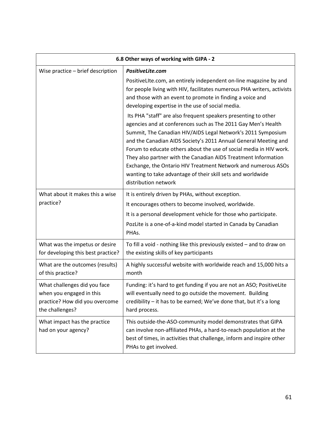| 6.8 Other ways of working with GIPA - 2                                                                       |                                                                                                                                                                                                                                                                                                                                                                                                                                                                                                                                                                    |  |  |
|---------------------------------------------------------------------------------------------------------------|--------------------------------------------------------------------------------------------------------------------------------------------------------------------------------------------------------------------------------------------------------------------------------------------------------------------------------------------------------------------------------------------------------------------------------------------------------------------------------------------------------------------------------------------------------------------|--|--|
| Wise practice - brief description                                                                             | PositiveLite.com                                                                                                                                                                                                                                                                                                                                                                                                                                                                                                                                                   |  |  |
|                                                                                                               | PositiveLIte.com, an entirely independent on-line magazine by and<br>for people living with HIV, facilitates numerous PHA writers, activists<br>and those with an event to promote in finding a voice and<br>developing expertise in the use of social media.                                                                                                                                                                                                                                                                                                      |  |  |
|                                                                                                               | Its PHA "staff" are also frequent speakers presenting to other<br>agencies and at conferences such as The 2011 Gay Men's Health<br>Summit, The Canadian HIV/AIDS Legal Network's 2011 Symposium<br>and the Canadian AIDS Society's 2011 Annual General Meeting and<br>Forum to educate others about the use of social media in HIV work.<br>They also partner with the Canadian AIDS Treatment Information<br>Exchange, the Ontario HIV Treatment Network and numerous ASOs<br>wanting to take advantage of their skill sets and worldwide<br>distribution network |  |  |
| What about it makes this a wise<br>practice?                                                                  | It is entirely driven by PHAs, without exception.<br>It encourages others to become involved, worldwide.<br>It is a personal development vehicle for those who participate.<br>PozLite is a one-of-a-kind model started in Canada by Canadian<br>PHAs.                                                                                                                                                                                                                                                                                                             |  |  |
| What was the impetus or desire<br>for developing this best practice?                                          | To fill a void - nothing like this previously existed - and to draw on<br>the existing skills of key participants                                                                                                                                                                                                                                                                                                                                                                                                                                                  |  |  |
| What are the outcomes (results)<br>of this practice?                                                          | A highly successful website with worldwide reach and 15,000 hits a<br>month                                                                                                                                                                                                                                                                                                                                                                                                                                                                                        |  |  |
| What challenges did you face<br>when you engaged in this<br>practice? How did you overcome<br>the challenges? | Funding: it's hard to get funding if you are not an ASO; PositiveLite<br>will eventually need to go outside the movement. Building<br>credibility - it has to be earned; We've done that, but it's a long<br>hard process.                                                                                                                                                                                                                                                                                                                                         |  |  |
| What impact has the practice<br>had on your agency?                                                           | This outside-the-ASO-community model demonstrates that GIPA<br>can involve non-affiliated PHAs, a hard-to-reach population at the<br>best of times, in activities that challenge, inform and inspire other<br>PHAs to get involved.                                                                                                                                                                                                                                                                                                                                |  |  |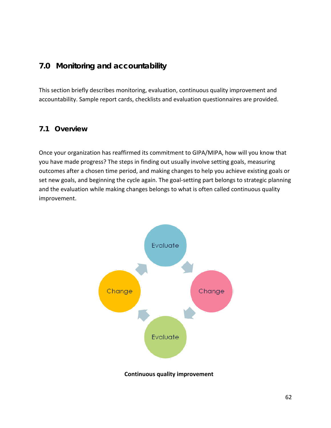## **7.0 Monitoring and accountability**

This section briefly describes monitoring, evaluation, continuous quality improvement and accountability. Sample report cards, checklists and evaluation questionnaires are provided.

## **7.1 Overview**

Once your organization has reaffirmed its commitment to GIPA/MIPA, how will you know that you have made progress? The steps in finding out usually involve setting goals, measuring outcomes after a chosen time period, and making changes to help you achieve existing goals or set new goals, and beginning the cycle again. The goal-setting part belongs to strategic planning and the evaluation while making changes belongs to what is often called continuous quality improvement.



**Continuous quality improvement**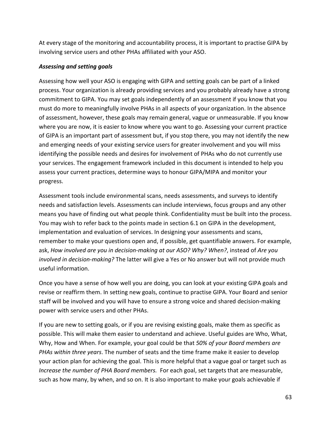At every stage of the monitoring and accountability process, it is important to practise GIPA by involving service users and other PHAs affiliated with your ASO.

#### *Assessing and setting goals*

Assessing how well your ASO is engaging with GIPA and setting goals can be part of a linked process. Your organization is already providing services and you probably already have a strong commitment to GIPA. You may set goals independently of an assessment if you know that you must do more to meaningfully involve PHAs in all aspects of your organization. In the absence of assessment, however, these goals may remain general, vague or unmeasurable. If you know where you are now, it is easier to know where you want to go. Assessing your current practice of GIPA is an important part of assessment but, if you stop there, you may not identify the new and emerging needs of your existing service users for greater involvement and you will miss identifying the possible needs and desires for involvement of PHAs who do not currently use your services. The engagement framework included in this document is intended to help you assess your current practices, determine ways to honour GIPA/MIPA and monitor your progress.

Assessment tools include environmental scans, needs assessments, and surveys to identify needs and satisfaction levels. Assessments can include interviews, focus groups and any other means you have of finding out what people think. Confidentiality must be built into the process. You may wish to refer back to the points made in section 6.1 on GIPA in the development, implementation and evaluation of services. In designing your assessments and scans, remember to make your questions open and, if possible, get quantifiable answers. For example, ask, *How involved are you in decision-making at our ASO? Why? When?*, instead of *Are you involved in decision-making?* The latter will give a Yes or No answer but will not provide much useful information.

Once you have a sense of how well you are doing, you can look at your existing GIPA goals and revise or reaffirm them. In setting new goals, continue to practise GIPA. Your Board and senior staff will be involved and you will have to ensure a strong voice and shared decision-making power with service users and other PHAs.

If you are new to setting goals, or if you are revising existing goals, make them as specific as possible. This will make them easier to understand and achieve. Useful guides are Who, What, Why, How and When. For example, your goal could be that *50% of your Board members are PHAs within three years*. The number of seats and the time frame make it easier to develop your action plan for achieving the goal. This is more helpful that a vague goal or target such as *Increase the number of PHA Board members.* For each goal, set targets that are measurable, such as how many, by when, and so on. It is also important to make your goals achievable if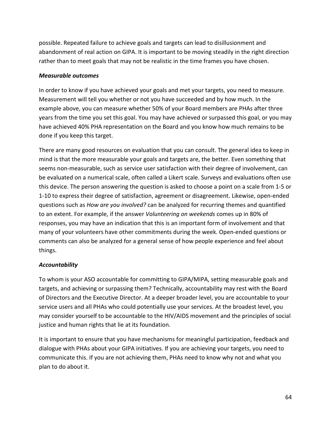possible. Repeated failure to achieve goals and targets can lead to disillusionment and abandonment of real action on GIPA. It is important to be moving steadily in the right direction rather than to meet goals that may not be realistic in the time frames you have chosen.

## *Measurable outcomes*

In order to know if you have achieved your goals and met your targets, you need to measure. Measurement will tell you whether or not you have succeeded and by how much. In the example above, you can measure whether 50% of your Board members are PHAs after three years from the time you set this goal. You may have achieved or surpassed this goal, or you may have achieved 40% PHA representation on the Board and you know how much remains to be done if you keep this target.

There are many good resources on evaluation that you can consult. The general idea to keep in mind is that the more measurable your goals and targets are, the better. Even something that seems non-measurable, such as service user satisfaction with their degree of involvement, can be evaluated on a numerical scale, often called a Likert scale. Surveys and evaluations often use this device. The person answering the question is asked to choose a point on a scale from 1-5 or 1-10 to express their degree of satisfaction, agreement or disagreement. Likewise, open-ended questions such as *How are you involved?* can be analyzed for recurring themes and quantified to an extent. For example, if the answer *Volunteering on weekends* comes up in 80% of responses, you may have an indication that this is an important form of involvement and that many of your volunteers have other commitments during the week. Open-ended questions or comments can also be analyzed for a general sense of how people experience and feel about things.

## *Accountability*

To whom is your ASO accountable for committing to GIPA/MIPA, setting measurable goals and targets, and achieving or surpassing them? Technically, accountability may rest with the Board of Directors and the Executive Director. At a deeper broader level, you are accountable to your service users and all PHAs who could potentially use your services. At the broadest level, you may consider yourself to be accountable to the HIV/AIDS movement and the principles of social justice and human rights that lie at its foundation.

It is important to ensure that you have mechanisms for meaningful participation, feedback and dialogue with PHAs about your GIPA initiatives. If you are achieving your targets, you need to communicate this. If you are not achieving them, PHAs need to know why not and what you plan to do about it.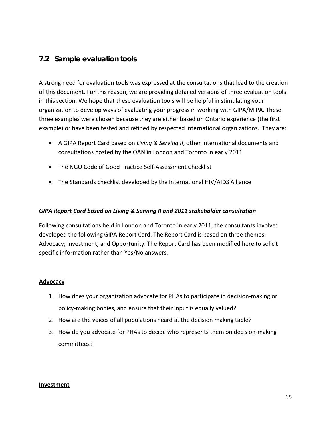## **7.2 Sample evaluation tools**

A strong need for evaluation tools was expressed at the consultations that lead to the creation of this document. For this reason, we are providing detailed versions of three evaluation tools in this section. We hope that these evaluation tools will be helpful in stimulating your organization to develop ways of evaluating your progress in working with GIPA/MIPA. These three examples were chosen because they are either based on Ontario experience (the first example) or have been tested and refined by respected international organizations. They are:

- A GIPA Report Card based on *Living & Serving II*, other international documents and consultations hosted by the OAN in London and Toronto in early 2011
- The NGO Code of Good Practice Self-Assessment Checklist
- The Standards checklist developed by the International HIV/AIDS Alliance

#### *GIPA Report Card based on Living & Serving II and 2011 stakeholder consultation*

Following consultations held in London and Toronto in early 2011, the consultants involved developed the following GIPA Report Card. The Report Card is based on three themes: Advocacy; Investment; and Opportunity. The Report Card has been modified here to solicit specific information rather than Yes/No answers.

#### **Advocacy**

- 1. How does your organization advocate for PHAs to participate in decision-making or policy-making bodies, and ensure that their input is equally valued?
- 2. How are the voices of all populations heard at the decision making table?
- 3. How do you advocate for PHAs to decide who represents them on decision-making committees?

#### **Investment**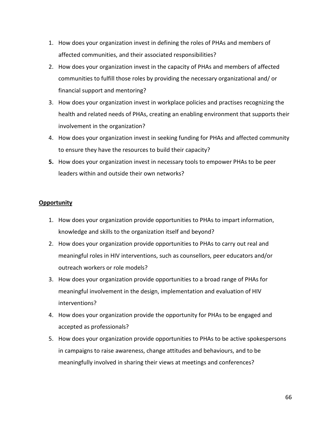- 1. How does your organization invest in defining the roles of PHAs and members of affected communities, and their associated responsibilities?
- 2. How does your organization invest in the capacity of PHAs and members of affected communities to fulfill those roles by providing the necessary organizational and/ or financial support and mentoring?
- 3. How does your organization invest in workplace policies and practises recognizing the health and related needs of PHAs, creating an enabling environment that supports their involvement in the organization?
- 4. How does your organization invest in seeking funding for PHAs and affected community to ensure they have the resources to build their capacity?
- **5.** How does your organization invest in necessary tools to empower PHAs to be peer leaders within and outside their own networks?

#### **Opportunity**

- 1. How does your organization provide opportunities to PHAs to impart information, knowledge and skills to the organization itself and beyond?
- 2. How does your organization provide opportunities to PHAs to carry out real and meaningful roles in HIV interventions, such as counsellors, peer educators and/or outreach workers or role models?
- 3. How does your organization provide opportunities to a broad range of PHAs for meaningful involvement in the design, implementation and evaluation of HIV interventions?
- 4. How does your organization provide the opportunity for PHAs to be engaged and accepted as professionals?
- 5. How does your organization provide opportunities to PHAs to be active spokespersons in campaigns to raise awareness, change attitudes and behaviours, and to be meaningfully involved in sharing their views at meetings and conferences?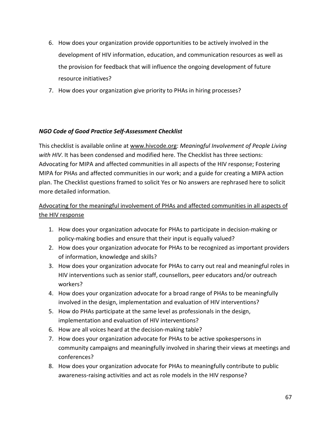- 6. How does your organization provide opportunities to be actively involved in the development of HIV information, education, and communication resources as well as the provision for feedback that will influence the ongoing development of future resource initiatives?
- 7. How does your organization give priority to PHAs in hiring processes?

## *NGO Code of Good Practice Self-Assessment Checklist*

This checklist is available online at [www.hivcode.org:](http://www.hivcode.org/) *Meaningful Involvement of People Living with HIV*. It has been condensed and modified here. The Checklist has three sections: Advocating for MIPA and affected communities in all aspects of the HIV response; Fostering MIPA for PHAs and affected communities in our work; and a guide for creating a MIPA action plan. The Checklist questions framed to solicit Yes or No answers are rephrased here to solicit more detailed information.

## Advocating for the meaningful involvement of PHAs and affected communities in all aspects of the HIV response

- 1. How does your organization advocate for PHAs to participate in decision-making or policy-making bodies and ensure that their input is equally valued?
- 2. How does your organization advocate for PHAs to be recognized as important providers of information, knowledge and skills?
- 3. How does your organization advocate for PHAs to carry out real and meaningful roles in HIV interventions such as senior staff, counsellors, peer educators and/or outreach workers?
- 4. How does your organization advocate for a broad range of PHAs to be meaningfully involved in the design, implementation and evaluation of HIV interventions?
- 5. How do PHAs participate at the same level as professionals in the design, implementation and evaluation of HIV interventions?
- 6. How are all voices heard at the decision-making table?
- 7. How does your organization advocate for PHAs to be active spokespersons in community campaigns and meaningfully involved in sharing their views at meetings and conferences?
- 8. How does your organization advocate for PHAs to meaningfully contribute to public awareness-raising activities and act as role models in the HIV response?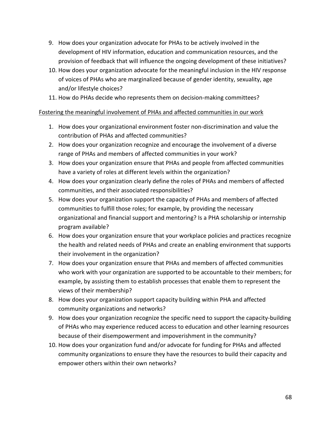- 9. How does your organization advocate for PHAs to be actively involved in the development of HIV information, education and communication resources, and the provision of feedback that will influence the ongoing development of these initiatives?
- 10. How does your organization advocate for the meaningful inclusion in the HIV response of voices of PHAs who are marginalized because of gender identity, sexuality, age and/or lifestyle choices?
- 11. How do PHAs decide who represents them on decision-making committees?

## Fostering the meaningful involvement of PHAs and affected communities in our work

- 1. How does your organizational environment foster non-discrimination and value the contribution of PHAs and affected communities?
- 2. How does your organization recognize and encourage the involvement of a diverse range of PHAs and members of affected communities in your work?
- 3. How does your organization ensure that PHAs and people from affected communities have a variety of roles at different levels within the organization?
- 4. How does your organization clearly define the roles of PHAs and members of affected communities, and their associated responsibilities?
- 5. How does your organization support the capacity of PHAs and members of affected communities to fulfill those roles; for example, by providing the necessary organizational and financial support and mentoring? Is a PHA scholarship or internship program available?
- 6. How does your organization ensure that your workplace policies and practices recognize the health and related needs of PHAs and create an enabling environment that supports their involvement in the organization?
- 7. How does your organization ensure that PHAs and members of affected communities who work with your organization are supported to be accountable to their members; for example, by assisting them to establish processes that enable them to represent the views of their membership?
- 8. How does your organization support capacity building within PHA and affected community organizations and networks?
- 9. How does your organization recognize the specific need to support the capacity-building of PHAs who may experience reduced access to education and other learning resources because of their disempowerment and impoverishment in the community?
- 10. How does your organization fund and/or advocate for funding for PHAs and affected community organizations to ensure they have the resources to build their capacity and empower others within their own networks?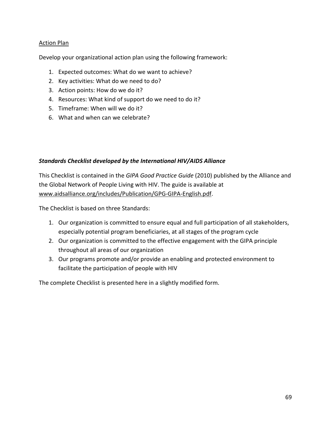## Action Plan

Develop your organizational action plan using the following framework:

- 1. Expected outcomes: What do we want to achieve?
- 2. Key activities: What do we need to do?
- 3. Action points: How do we do it?
- 4. Resources: What kind of support do we need to do it?
- 5. Timeframe: When will we do it?
- 6. What and when can we celebrate?

## *Standards Checklist developed by the International HIV/AIDS Alliance*

This Checklist is contained in the *GIPA Good Practice Guide* (2010) published by the Alliance and the Global Network of People Living with HIV. The guide is available at [www.aidsalliance.org/includes/Publication/GPG-GIPA-English.pdf.](http://www.aidsalliance.org/includes/Publication/GPG-GIPA-English.pdf)

The Checklist is based on three Standards:

- 1. Our organization is committed to ensure equal and full participation of all stakeholders, especially potential program beneficiaries, at all stages of the program cycle
- 2. Our organization is committed to the effective engagement with the GIPA principle throughout all areas of our organization
- 3. Our programs promote and/or provide an enabling and protected environment to facilitate the participation of people with HIV

The complete Checklist is presented here in a slightly modified form.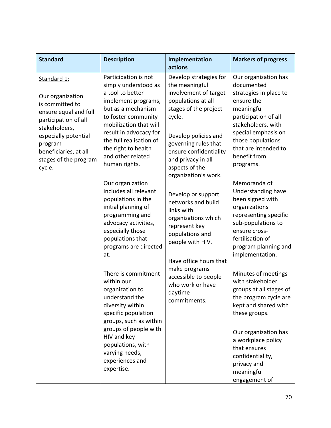| <b>Standard</b>                                                                                                                                                                                                     | <b>Description</b>                                                                                                                                                                                                                                                                                   | Implementation<br>actions                                                                                                                                                                                                                                                                  | <b>Markers of progress</b>                                                                                                                                                                                                                                           |
|---------------------------------------------------------------------------------------------------------------------------------------------------------------------------------------------------------------------|------------------------------------------------------------------------------------------------------------------------------------------------------------------------------------------------------------------------------------------------------------------------------------------------------|--------------------------------------------------------------------------------------------------------------------------------------------------------------------------------------------------------------------------------------------------------------------------------------------|----------------------------------------------------------------------------------------------------------------------------------------------------------------------------------------------------------------------------------------------------------------------|
| Standard 1:<br>Our organization<br>is committed to<br>ensure equal and full<br>participation of all<br>stakeholders,<br>especially potential<br>program<br>beneficiaries, at all<br>stages of the program<br>cycle. | Participation is not<br>simply understood as<br>a tool to better<br>implement programs,<br>but as a mechanism<br>to foster community<br>mobilization that will<br>result in advocacy for<br>the full realisation of<br>the right to health<br>and other related<br>human rights.<br>Our organization | Develop strategies for<br>the meaningful<br>involvement of target<br>populations at all<br>stages of the project<br>cycle.<br>Develop policies and<br>governing rules that<br>ensure confidentiality<br>and privacy in all<br>aspects of the<br>organization's work.<br>Develop or support | Our organization has<br>documented<br>strategies in place to<br>ensure the<br>meaningful<br>participation of all<br>stakeholders, with<br>special emphasis on<br>those populations<br>that are intended to<br>benefit from<br>programs.<br>Memoranda of              |
|                                                                                                                                                                                                                     | includes all relevant<br>populations in the<br>initial planning of<br>programming and<br>advocacy activities,<br>especially those<br>populations that<br>programs are directed<br>at.                                                                                                                | networks and build<br>links with<br>organizations which<br>represent key<br>populations and<br>people with HIV.<br>Have office hours that                                                                                                                                                  | Understanding have<br>been signed with<br>organizations<br>representing specific<br>sub-populations to<br>ensure cross-<br>fertilisation of<br>program planning and<br>implementation.                                                                               |
|                                                                                                                                                                                                                     | There is commitment<br>within our<br>organization to<br>understand the<br>diversity within<br>specific population<br>groups, such as within<br>groups of people with<br>HIV and key<br>populations, with<br>varying needs,<br>experiences and<br>expertise.                                          | make programs<br>accessible to people<br>who work or have<br>daytime<br>commitments.                                                                                                                                                                                                       | Minutes of meetings<br>with stakeholder<br>groups at all stages of<br>the program cycle are<br>kept and shared with<br>these groups.<br>Our organization has<br>a workplace policy<br>that ensures<br>confidentiality,<br>privacy and<br>meaningful<br>engagement of |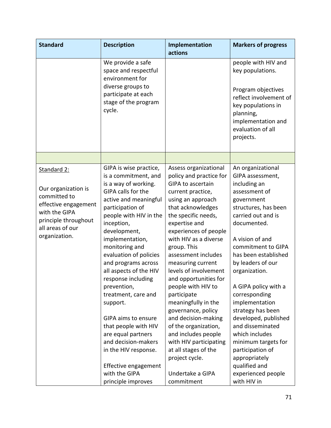| <b>Standard</b>                                                                                                                                          | <b>Description</b>                                                                                                                                                                                                                                                                                                                                                                                               | Implementation<br>actions                                                                                                                                                                                                                                                                                                                                                                                                                                   | <b>Markers of progress</b>                                                                                                                                                                                                                                                                                                                                       |
|----------------------------------------------------------------------------------------------------------------------------------------------------------|------------------------------------------------------------------------------------------------------------------------------------------------------------------------------------------------------------------------------------------------------------------------------------------------------------------------------------------------------------------------------------------------------------------|-------------------------------------------------------------------------------------------------------------------------------------------------------------------------------------------------------------------------------------------------------------------------------------------------------------------------------------------------------------------------------------------------------------------------------------------------------------|------------------------------------------------------------------------------------------------------------------------------------------------------------------------------------------------------------------------------------------------------------------------------------------------------------------------------------------------------------------|
|                                                                                                                                                          | We provide a safe<br>space and respectful<br>environment for                                                                                                                                                                                                                                                                                                                                                     |                                                                                                                                                                                                                                                                                                                                                                                                                                                             | people with HIV and<br>key populations.                                                                                                                                                                                                                                                                                                                          |
|                                                                                                                                                          | diverse groups to<br>participate at each<br>stage of the program<br>cycle.                                                                                                                                                                                                                                                                                                                                       |                                                                                                                                                                                                                                                                                                                                                                                                                                                             | Program objectives<br>reflect involvement of<br>key populations in<br>planning,<br>implementation and<br>evaluation of all<br>projects.                                                                                                                                                                                                                          |
|                                                                                                                                                          |                                                                                                                                                                                                                                                                                                                                                                                                                  |                                                                                                                                                                                                                                                                                                                                                                                                                                                             |                                                                                                                                                                                                                                                                                                                                                                  |
| Standard 2:<br>Our organization is<br>committed to<br>effective engagement<br>with the GIPA<br>principle throughout<br>all areas of our<br>organization. | GIPA is wise practice,<br>is a commitment, and<br>is a way of working.<br>GIPA calls for the<br>active and meaningful<br>participation of<br>people with HIV in the<br>inception,<br>development,<br>implementation,<br>monitoring and<br>evaluation of policies<br>and programs across<br>all aspects of the HIV<br>response including<br>prevention,<br>treatment, care and<br>support.<br>GIPA aims to ensure | Assess organizational<br>policy and practice for<br><b>GIPA to ascertain</b><br>current practice,<br>using an approach<br>that acknowledges<br>the specific needs,<br>expertise and<br>experiences of people<br>with HIV as a diverse<br>group. This<br>assessment includes<br>measuring current<br>levels of involvement<br>and opportunities for<br>people with HIV to<br>participate<br>meaningfully in the<br>governance, policy<br>and decision-making | An organizational<br>GIPA assessment,<br>including an<br>assessment of<br>government<br>structures, has been<br>carried out and is<br>documented.<br>A vision of and<br>commitment to GIPA<br>has been established<br>by leaders of our<br>organization.<br>A GIPA policy with a<br>corresponding<br>implementation<br>strategy has been<br>developed, published |
|                                                                                                                                                          | that people with HIV<br>are equal partners<br>and decision-makers<br>in the HIV response.                                                                                                                                                                                                                                                                                                                        | of the organization,<br>and includes people<br>with HIV participating<br>at all stages of the<br>project cycle.                                                                                                                                                                                                                                                                                                                                             | and disseminated<br>which includes<br>minimum targets for<br>participation of<br>appropriately                                                                                                                                                                                                                                                                   |
|                                                                                                                                                          | Effective engagement<br>with the GIPA<br>principle improves                                                                                                                                                                                                                                                                                                                                                      | Undertake a GIPA<br>commitment                                                                                                                                                                                                                                                                                                                                                                                                                              | qualified and<br>experienced people<br>with HIV in                                                                                                                                                                                                                                                                                                               |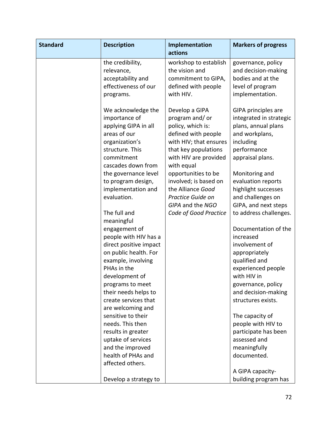| <b>Standard</b> | <b>Description</b>                                                                                                                                   | Implementation<br>actions                                                                                                                                             | <b>Markers of progress</b>                                                                                                              |
|-----------------|------------------------------------------------------------------------------------------------------------------------------------------------------|-----------------------------------------------------------------------------------------------------------------------------------------------------------------------|-----------------------------------------------------------------------------------------------------------------------------------------|
|                 | the credibility,<br>relevance,<br>acceptability and<br>effectiveness of our<br>programs.                                                             | workshop to establish<br>the vision and<br>commitment to GIPA,<br>defined with people<br>with HIV.                                                                    | governance, policy<br>and decision-making<br>bodies and at the<br>level of program<br>implementation.                                   |
|                 | We acknowledge the<br>importance of<br>applying GIPA in all<br>areas of our<br>organization's<br>structure. This<br>commitment<br>cascades down from | Develop a GIPA<br>program and/or<br>policy, which is:<br>defined with people<br>with HIV; that ensures<br>that key populations<br>with HIV are provided<br>with equal | GIPA principles are<br>integrated in strategic<br>plans, annual plans<br>and workplans,<br>including<br>performance<br>appraisal plans. |
|                 | the governance level<br>to program design,<br>implementation and<br>evaluation.                                                                      | opportunities to be<br>involved; is based on<br>the Alliance Good<br>Practice Guide on<br>GIPA and the NGO                                                            | Monitoring and<br>evaluation reports<br>highlight successes<br>and challenges on<br>GIPA, and next steps                                |
|                 | The full and<br>meaningful                                                                                                                           | Code of Good Practice                                                                                                                                                 | to address challenges.                                                                                                                  |
|                 | engagement of<br>people with HIV has a<br>direct positive impact<br>on public health. For<br>example, involving<br>PHAs in the                       |                                                                                                                                                                       | Documentation of the<br>increased<br>involvement of<br>appropriately<br>qualified and<br>experienced people                             |
|                 | development of<br>programs to meet<br>their needs helps to<br>create services that<br>are welcoming and                                              |                                                                                                                                                                       | with HIV in<br>governance, policy<br>and decision-making<br>structures exists.                                                          |
|                 | sensitive to their<br>needs. This then<br>results in greater                                                                                         |                                                                                                                                                                       | The capacity of<br>people with HIV to<br>participate has been                                                                           |
|                 | uptake of services<br>and the improved                                                                                                               |                                                                                                                                                                       | assessed and<br>meaningfully                                                                                                            |
|                 | health of PHAs and<br>affected others.                                                                                                               |                                                                                                                                                                       | documented.<br>A GIPA capacity-                                                                                                         |
|                 | Develop a strategy to                                                                                                                                |                                                                                                                                                                       | building program has                                                                                                                    |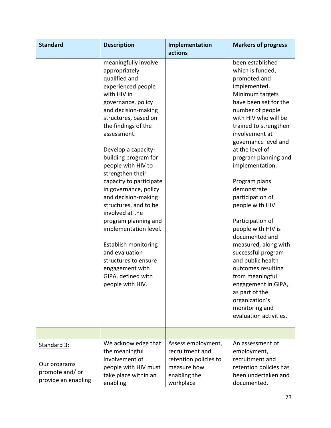| <b>Standard</b>                                                       | <b>Description</b>                                                                                                                                                                                                                                                                                                                                                                                                                                                                                                                                                                                            | Implementation<br>actions                                                                                  | <b>Markers of progress</b>                                                                                                                                                                                                                                                                                                                                                                                                                                                                                                                                                                                                                           |
|-----------------------------------------------------------------------|---------------------------------------------------------------------------------------------------------------------------------------------------------------------------------------------------------------------------------------------------------------------------------------------------------------------------------------------------------------------------------------------------------------------------------------------------------------------------------------------------------------------------------------------------------------------------------------------------------------|------------------------------------------------------------------------------------------------------------|------------------------------------------------------------------------------------------------------------------------------------------------------------------------------------------------------------------------------------------------------------------------------------------------------------------------------------------------------------------------------------------------------------------------------------------------------------------------------------------------------------------------------------------------------------------------------------------------------------------------------------------------------|
|                                                                       | meaningfully involve<br>appropriately<br>qualified and<br>experienced people<br>with HIV in<br>governance, policy<br>and decision-making<br>structures, based on<br>the findings of the<br>assessment.<br>Develop a capacity-<br>building program for<br>people with HIV to<br>strengthen their<br>capacity to participate<br>in governance, policy<br>and decision-making<br>structures, and to be<br>involved at the<br>program planning and<br>implementation level.<br><b>Establish monitoring</b><br>and evaluation<br>structures to ensure<br>engagement with<br>GIPA, defined with<br>people with HIV. |                                                                                                            | been established<br>which is funded,<br>promoted and<br>implemented.<br>Minimum targets<br>have been set for the<br>number of people<br>with HIV who will be<br>trained to strengthen<br>involvement at<br>governance level and<br>at the level of<br>program planning and<br>implementation.<br>Program plans<br>demonstrate<br>participation of<br>people with HIV.<br>Participation of<br>people with HIV is<br>documented and<br>measured, along with<br>successful program<br>and public health<br>outcomes resulting<br>from meaningful<br>engagement in GIPA,<br>as part of the<br>organization's<br>monitoring and<br>evaluation activities. |
|                                                                       |                                                                                                                                                                                                                                                                                                                                                                                                                                                                                                                                                                                                               |                                                                                                            |                                                                                                                                                                                                                                                                                                                                                                                                                                                                                                                                                                                                                                                      |
| Standard 3:<br>Our programs<br>promote and/ or<br>provide an enabling | We acknowledge that<br>the meaningful<br>involvement of<br>people with HIV must<br>take place within an<br>enabling                                                                                                                                                                                                                                                                                                                                                                                                                                                                                           | Assess employment,<br>recruitment and<br>retention policies to<br>measure how<br>enabling the<br>workplace | An assessment of<br>employment,<br>recruitment and<br>retention policies has<br>been undertaken and<br>documented.                                                                                                                                                                                                                                                                                                                                                                                                                                                                                                                                   |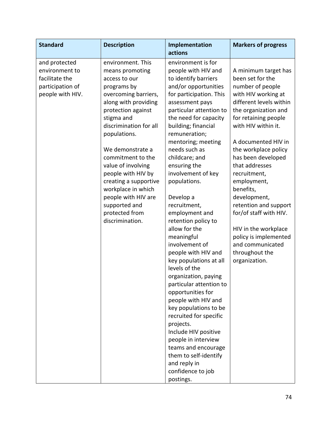| <b>Standard</b>                                                                           | <b>Description</b>                                                                                                                                                                                                                                                                                                                                                                                                  | Implementation                                                                                                                                                                                                                                                                                                                                                                                                                                                                                                                                                                                                                                                                                                                                                                                                                                            | <b>Markers of progress</b>                                                                                                                                                                                                                                                                                                                                                                                                                                                                          |
|-------------------------------------------------------------------------------------------|---------------------------------------------------------------------------------------------------------------------------------------------------------------------------------------------------------------------------------------------------------------------------------------------------------------------------------------------------------------------------------------------------------------------|-----------------------------------------------------------------------------------------------------------------------------------------------------------------------------------------------------------------------------------------------------------------------------------------------------------------------------------------------------------------------------------------------------------------------------------------------------------------------------------------------------------------------------------------------------------------------------------------------------------------------------------------------------------------------------------------------------------------------------------------------------------------------------------------------------------------------------------------------------------|-----------------------------------------------------------------------------------------------------------------------------------------------------------------------------------------------------------------------------------------------------------------------------------------------------------------------------------------------------------------------------------------------------------------------------------------------------------------------------------------------------|
| and protected<br>environment to<br>facilitate the<br>participation of<br>people with HIV. | environment. This<br>means promoting<br>access to our<br>programs by<br>overcoming barriers,<br>along with providing<br>protection against<br>stigma and<br>discrimination for all<br>populations.<br>We demonstrate a<br>commitment to the<br>value of involving<br>people with HIV by<br>creating a supportive<br>workplace in which<br>people with HIV are<br>supported and<br>protected from<br>discrimination. | actions<br>environment is for<br>people with HIV and<br>to identify barriers<br>and/or opportunities<br>for participation. This<br>assessment pays<br>particular attention to<br>the need for capacity<br>building; financial<br>remuneration;<br>mentoring; meeting<br>needs such as<br>childcare; and<br>ensuring the<br>involvement of key<br>populations.<br>Develop a<br>recruitment,<br>employment and<br>retention policy to<br>allow for the<br>meaningful<br>involvement of<br>people with HIV and<br>key populations at all<br>levels of the<br>organization, paying<br>particular attention to<br>opportunities for<br>people with HIV and<br>key populations to be<br>recruited for specific<br>projects.<br>Include HIV positive<br>people in interview<br>teams and encourage<br>them to self-identify<br>and reply in<br>confidence to job | A minimum target has<br>been set for the<br>number of people<br>with HIV working at<br>different levels within<br>the organization and<br>for retaining people<br>with HIV within it.<br>A documented HIV in<br>the workplace policy<br>has been developed<br>that addresses<br>recruitment,<br>employment,<br>benefits,<br>development,<br>retention and support<br>for/of staff with HIV.<br>HIV in the workplace<br>policy is implemented<br>and communicated<br>throughout the<br>organization. |
|                                                                                           |                                                                                                                                                                                                                                                                                                                                                                                                                     | postings.                                                                                                                                                                                                                                                                                                                                                                                                                                                                                                                                                                                                                                                                                                                                                                                                                                                 |                                                                                                                                                                                                                                                                                                                                                                                                                                                                                                     |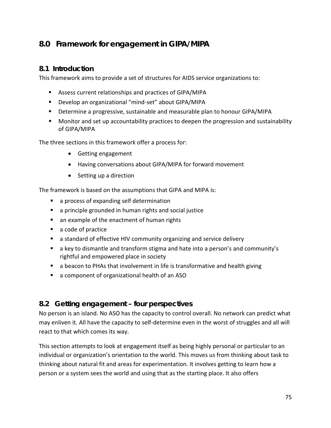# **8.0 Framework for engagement in GIPA/MIPA**

## **8.1 Introduction**

This framework aims to provide a set of structures for AIDS service organizations to:

- Assess current relationships and practices of GIPA/MIPA
- Develop an organizational "mind-set" about GIPA/MIPA
- **Determine a progressive, sustainable and measurable plan to honour GIPA/MIPA**
- Monitor and set up accountability practices to deepen the progression and sustainability of GIPA/MIPA

The three sections in this framework offer a process for:

- Getting engagement
- Having conversations about GIPA/MIPA for forward movement
- Setting up a direction

The framework is based on the assumptions that GIPA and MIPA is:

- **a** a process of expanding self determination
- **a** a principle grounded in human rights and social justice
- **a** an example of the enactment of human rights
- a code of practice
- a standard of effective HIV community organizing and service delivery
- a key to dismantle and transform stigma and hate into a person's and community's rightful and empowered place in society
- **a** a beacon to PHAs that involvement in life is transformative and health giving
- a component of organizational health of an ASO

# **8.2 Getting engagement – four perspectives**

No person is an island. No ASO has the capacity to control overall. No network can predict what may enliven it. All have the capacity to self-determine even in the worst of struggles and all will react to that which comes its way.

This section attempts to look at engagement itself as being highly personal or particular to an individual or organization's orientation to the world. This moves us from thinking about task to thinking about natural fit and areas for experimentation. It involves getting to learn how a person or a system sees the world and using that as the starting place. It also offers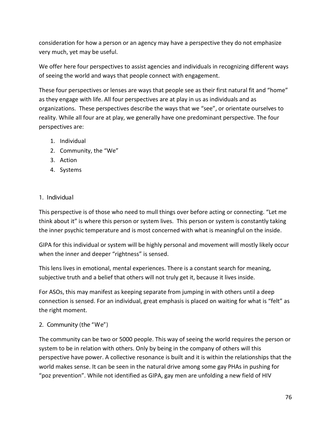consideration for how a person or an agency may have a perspective they do not emphasize very much, yet may be useful.

We offer here four perspectives to assist agencies and individuals in recognizing different ways of seeing the world and ways that people connect with engagement.

These four perspectives or lenses are ways that people see as their first natural fit and "home" as they engage with life. All four perspectives are at play in us as individuals and as organizations. These perspectives describe the ways that we "see", or orientate ourselves to reality. While all four are at play, we generally have one predominant perspective. The four perspectives are:

- 1. Individual
- 2. Community, the "We"
- 3. Action
- 4. Systems

#### 1. Individual

This perspective is of those who need to mull things over before acting or connecting. "Let me think about it" is where this person or system lives. This person or system is constantly taking the inner psychic temperature and is most concerned with what is meaningful on the inside.

GIPA for this individual or system will be highly personal and movement will mostly likely occur when the inner and deeper "rightness" is sensed.

This lens lives in emotional, mental experiences. There is a constant search for meaning, subjective truth and a belief that others will not truly get it, because it lives inside.

For ASOs, this may manifest as keeping separate from jumping in with others until a deep connection is sensed. For an individual, great emphasis is placed on waiting for what is "felt" as the right moment.

2. Community (the "We")

The community can be two or 5000 people. This way of seeing the world requires the person or system to be in relation with others. Only by being in the company of others will this perspective have power. A collective resonance is built and it is within the relationships that the world makes sense. It can be seen in the natural drive among some gay PHAs in pushing for "poz prevention". While not identified as GIPA, gay men are unfolding a new field of HIV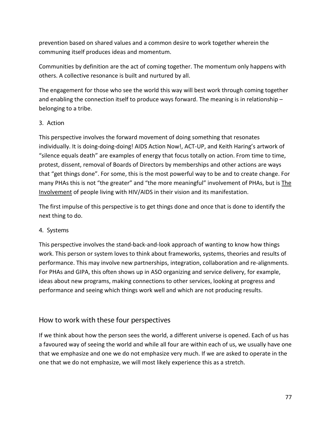prevention based on shared values and a common desire to work together wherein the communing itself produces ideas and momentum.

Communities by definition are the act of coming together. The momentum only happens with others. A collective resonance is built and nurtured by all.

The engagement for those who see the world this way will best work through coming together and enabling the connection itself to produce ways forward. The meaning is in relationship – belonging to a tribe.

#### 3. Action

This perspective involves the forward movement of doing something that resonates individually. It is doing-doing-doing! AIDS Action Now!, ACT-UP, and Keith Haring's artwork of "silence equals death" are examples of energy that focus totally on action. From time to time, protest, dissent, removal of Boards of Directors by memberships and other actions are ways that "get things done". For some, this is the most powerful way to be and to create change. For many PHAs this is not "the greater" and "the more meaningful" involvement of PHAs, but is The Involvement of people living with HIV/AIDS in their vision and its manifestation.

The first impulse of this perspective is to get things done and once that is done to identify the next thing to do.

## 4. Systems

This perspective involves the stand-back-and-look approach of wanting to know how things work. This person or system loves to think about frameworks, systems, theories and results of performance. This may involve new partnerships, integration, collaboration and re-alignments. For PHAs and GIPA, this often shows up in ASO organizing and service delivery, for example, ideas about new programs, making connections to other services, looking at progress and performance and seeing which things work well and which are not producing results.

# How to work with these four perspectives

If we think about how the person sees the world, a different universe is opened. Each of us has a favoured way of seeing the world and while all four are within each of us, we usually have one that we emphasize and one we do not emphasize very much. If we are asked to operate in the one that we do not emphasize, we will most likely experience this as a stretch.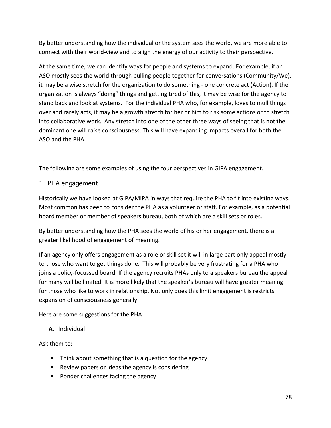By better understanding how the individual or the system sees the world, we are more able to connect with their world-view and to align the energy of our activity to their perspective.

At the same time, we can identify ways for people and systems to expand. For example, if an ASO mostly sees the world through pulling people together for conversations (Community/We), it may be a wise stretch for the organization to do something - one concrete act (Action). If the organization is always "doing" things and getting tired of this, it may be wise for the agency to stand back and look at systems. For the individual PHA who, for example, loves to mull things over and rarely acts, it may be a growth stretch for her or him to risk some actions or to stretch into collaborative work. Any stretch into one of the other three ways of seeing that is not the dominant one will raise consciousness. This will have expanding impacts overall for both the ASO and the PHA.

The following are some examples of using the four perspectives in GIPA engagement.

#### 1. PHA engagement

Historically we have looked at GIPA/MIPA in ways that require the PHA to fit into existing ways. Most common has been to consider the PHA as a volunteer or staff. For example, as a potential board member or member of speakers bureau, both of which are a skill sets or roles.

By better understanding how the PHA sees the world of his or her engagement, there is a greater likelihood of engagement of meaning.

If an agency only offers engagement as a role or skill set it will in large part only appeal mostly to those who want to get things done. This will probably be very frustrating for a PHA who joins a policy-focussed board. If the agency recruits PHAs only to a speakers bureau the appeal for many will be limited. It is more likely that the speaker's bureau will have greater meaning for those who like to work in relationship. Not only does this limit engagement is restricts expansion of consciousness generally.

Here are some suggestions for the PHA:

## **A.** Individual

Ask them to:

- Think about something that is a question for the agency
- Review papers or ideas the agency is considering
- Ponder challenges facing the agency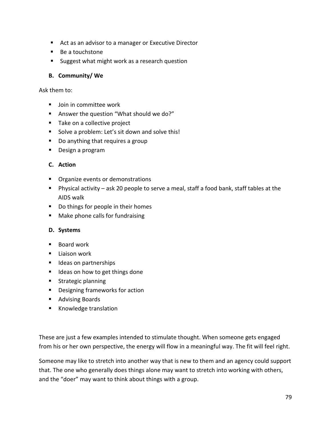- Act as an advisor to a manager or Executive Director
- Be a touchstone
- **Suggest what might work as a research question**

#### **B. Community/ We**

Ask them to:

- **Join in committee work**
- Answer the question "What should we do?"
- Take on a collective project
- Solve a problem: Let's sit down and solve this!
- Do anything that requires a group
- Design a program

## **C. Action**

- **•** Organize events or demonstrations
- Physical activity ask 20 people to serve a meal, staff a food bank, staff tables at the AIDS walk
- Do things for people in their homes
- **Make phone calls for fundraising**

#### **D. Systems**

- $\blacksquare$  Board work
- $\blacksquare$  Liaison work
- **IDEAS** on partnerships
- Ideas on how to get things done
- **Strategic planning**
- **•** Designing frameworks for action
- **Advising Boards**
- Knowledge translation

These are just a few examples intended to stimulate thought. When someone gets engaged from his or her own perspective, the energy will flow in a meaningful way. The fit will feel right.

Someone may like to stretch into another way that is new to them and an agency could support that. The one who generally does things alone may want to stretch into working with others, and the "doer" may want to think about things with a group.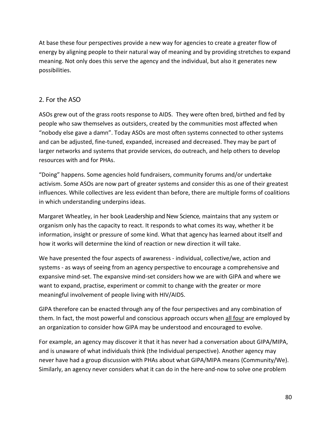At base these four perspectives provide a new way for agencies to create a greater flow of energy by aligning people to their natural way of meaning and by providing stretches to expand meaning. Not only does this serve the agency and the individual, but also it generates new possibilities.

## 2. For the ASO

ASOs grew out of the grass roots response to AIDS. They were often bred, birthed and fed by people who saw themselves as outsiders, created by the communities most affected when "nobody else gave a damn". Today ASOs are most often systems connected to other systems and can be adjusted, fine-tuned, expanded, increased and decreased. They may be part of larger networks and systems that provide services, do outreach, and help others to develop resources with and for PHAs.

"Doing" happens. Some agencies hold fundraisers, community forums and/or undertake activism. Some ASOs are now part of greater systems and consider this as one of their greatest influences. While collectives are less evident than before, there are multiple forms of coalitions in which understanding underpins ideas.

Margaret Wheatley, in her book Leadership and New Science, maintains that any system or organism only has the capacity to react. It responds to what comes its way, whether it be information, insight or pressure of some kind. What that agency has learned about itself and how it works will determine the kind of reaction or new direction it will take.

We have presented the four aspects of awareness - individual, collective/we, action and systems - as ways of seeing from an agency perspective to encourage a comprehensive and expansive mind-set. The expansive mind-set considers how we are with GIPA and where we want to expand, practise, experiment or commit to change with the greater or more meaningful involvement of people living with HIV/AIDS.

GIPA therefore can be enacted through any of the four perspectives and any combination of them. In fact, the most powerful and conscious approach occurs when all four are employed by an organization to consider how GIPA may be understood and encouraged to evolve.

For example, an agency may discover it that it has never had a conversation about GIPA/MIPA, and is unaware of what individuals think (the Individual perspective). Another agency may never have had a group discussion with PHAs about what GIPA/MIPA means (Community/We). Similarly, an agency never considers what it can do in the here-and-now to solve one problem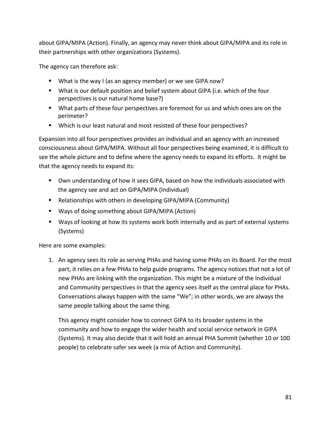about GIPA/MIPA (Action). Finally, an agency may never think about GIPA/MIPA and its role in their partnerships with other organizations (Systems).

The agency can therefore ask:

- What is the way I (as an agency member) or we see GIPA now?
- What is our default position and belief system about GIPA (i.e. which of the four perspectives is our natural home base?)
- What parts of these four perspectives are foremost for us and which ones are on the perimeter?
- Which is our least natural and most resisted of these four perspectives?

Expansion into all four perspectives provides an individual and an agency with an increased consciousness about GIPA/MIPA. Without all four perspectives being examined, it is difficult to see the whole picture and to define where the agency needs to expand its efforts. It might be that the agency needs to expand its:

- Own understanding of how it sees GIPA, based on how the individuals associated with the agency see and act on GIPA/MIPA (Individual)
- Relationships with others in developing GIPA/MIPA (Community)
- Ways of doing something about GIPA/MIPA (Action)
- Ways of looking at how its systems work both internally and as part of external systems (Systems)

Here are some examples:

1. An agency sees its role as serving PHAs and having some PHAs on its Board. For the most part, it relies on a few PHAs to help guide programs. The agency notices that not a lot of new PHAs are linking with the organization. This might be a mixture of the Individual and Community perspectives in that the agency sees itself as the central place for PHAs. Conversations always happen with the same "We"; in other words, we are always the same people talking about the same thing.

This agency might consider how to connect GIPA to its broader systems in the community and how to engage the wider health and social service network in GIPA (Systems). It may also decide that it will hold an annual PHA Summit (whether 10 or 100 people) to celebrate safer sex week (a mix of Action and Community).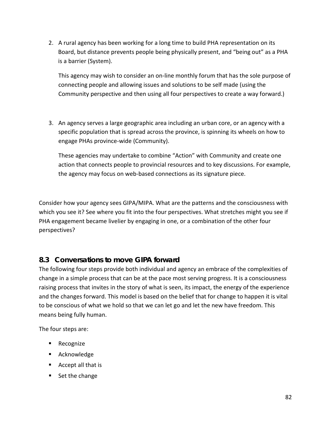2. A rural agency has been working for a long time to build PHA representation on its Board, but distance prevents people being physically present, and "being out" as a PHA is a barrier (System).

This agency may wish to consider an on-line monthly forum that has the sole purpose of connecting people and allowing issues and solutions to be self made (using the Community perspective and then using all four perspectives to create a way forward.)

3. An agency serves a large geographic area including an urban core, or an agency with a specific population that is spread across the province, is spinning its wheels on how to engage PHAs province-wide (Community).

These agencies may undertake to combine "Action" with Community and create one action that connects people to provincial resources and to key discussions. For example, the agency may focus on web-based connections as its signature piece.

Consider how your agency sees GIPA/MIPA. What are the patterns and the consciousness with which you see it? See where you fit into the four perspectives. What stretches might you see if PHA engagement became livelier by engaging in one, or a combination of the other four perspectives?

# **8.3 Conversations to move GIPA forward**

The following four steps provide both individual and agency an embrace of the complexities of change in a simple process that can be at the pace most serving progress. It is a consciousness raising process that invites in the story of what is seen, its impact, the energy of the experience and the changes forward. This model is based on the belief that for change to happen it is vital to be conscious of what we hold so that we can let go and let the new have freedom. This means being fully human.

The four steps are:

- **Recognize**
- **Acknowledge**
- Accept all that is
- $\blacksquare$  Set the change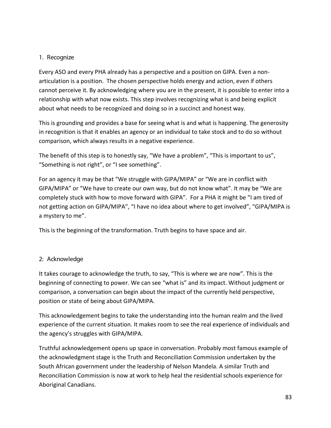#### 1. Recognize

Every ASO and every PHA already has a perspective and a position on GIPA. Even a nonarticulation is a position. The chosen perspective holds energy and action, even if others cannot perceive it. By acknowledging where you are in the present, it is possible to enter into a relationship with what now exists. This step involves recognizing what is and being explicit about what needs to be recognized and doing so in a succinct and honest way.

This is grounding and provides a base for seeing what is and what is happening. The generosity in recognition is that it enables an agency or an individual to take stock and to do so without comparison, which always results in a negative experience.

The benefit of this step is to honestly say, "We have a problem", "This is important to us", "Something is not right", or "I see something".

For an agency it may be that "We struggle with GIPA/MIPA" or "We are in conflict with GIPA/MIPA" or "We have to create our own way, but do not know what". It may be "We are completely stuck with how to move forward with GIPA". For a PHA it might be "I am tired of not getting action on GIPA/MIPA", "I have no idea about where to get involved", "GIPA/MIPA is a mystery to me".

This is the beginning of the transformation. Truth begins to have space and air.

## 2: Acknowledge

It takes courage to acknowledge the truth, to say, "This is where we are now". This is the beginning of connecting to power. We can see "what is" and its impact. Without judgment or comparison, a conversation can begin about the impact of the currently held perspective, position or state of being about GIPA/MIPA.

This acknowledgement begins to take the understanding into the human realm and the lived experience of the current situation. It makes room to see the real experience of individuals and the agency's struggles with GIPA/MIPA.

Truthful acknowledgement opens up space in conversation. Probably most famous example of the acknowledgment stage is the Truth and Reconciliation Commission undertaken by the South African government under the leadership of Nelson Mandela. A similar Truth and Reconciliation Commission is now at work to help heal the residential schools experience for Aboriginal Canadians.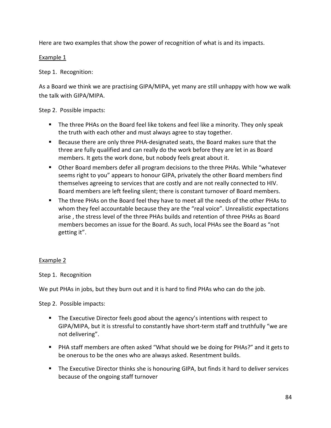Here are two examples that show the power of recognition of what is and its impacts.

Example 1

Step 1. Recognition:

As a Board we think we are practising GIPA/MIPA, yet many are still unhappy with how we walk the talk with GIPA/MIPA.

Step 2. Possible impacts:

- **The three PHAs on the Board feel like tokens and feel like a minority. They only speak** the truth with each other and must always agree to stay together.
- Because there are only three PHA-designated seats, the Board makes sure that the three are fully qualified and can really do the work before they are let in as Board members. It gets the work done, but nobody feels great about it.
- Other Board members defer all program decisions to the three PHAs. While "whatever seems right to you" appears to honour GIPA, privately the other Board members find themselves agreeing to services that are costly and are not really connected to HIV. Board members are left feeling silent; there is constant turnover of Board members.
- The three PHAs on the Board feel they have to meet all the needs of the other PHAs to whom they feel accountable because they are the "real voice". Unrealistic expectations arise , the stress level of the three PHAs builds and retention of three PHAs as Board members becomes an issue for the Board. As such, local PHAs see the Board as "not getting it".

## Example 2

Step 1. Recognition

We put PHAs in jobs, but they burn out and it is hard to find PHAs who can do the job.

Step 2. Possible impacts:

- **The Executive Director feels good about the agency's intentions with respect to** GIPA/MIPA, but it is stressful to constantly have short-term staff and truthfully "we are not delivering".
- PHA staff members are often asked "What should we be doing for PHAs?" and it gets to be onerous to be the ones who are always asked. Resentment builds.
- **The Executive Director thinks she is honouring GIPA, but finds it hard to deliver services** because of the ongoing staff turnover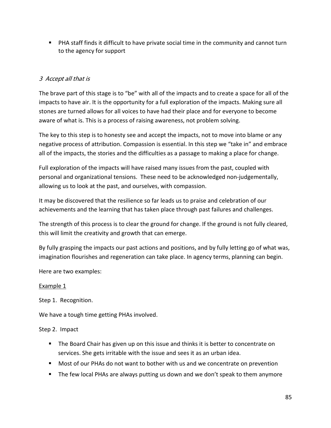PHA staff finds it difficult to have private social time in the community and cannot turn to the agency for support

## 3 Accept all that is

The brave part of this stage is to "be" with all of the impacts and to create a space for all of the impacts to have air. It is the opportunity for a full exploration of the impacts. Making sure all stones are turned allows for all voices to have had their place and for everyone to become aware of what is. This is a process of raising awareness, not problem solving.

The key to this step is to honesty see and accept the impacts, not to move into blame or any negative process of attribution. Compassion is essential. In this step we "take in" and embrace all of the impacts, the stories and the difficulties as a passage to making a place for change.

Full exploration of the impacts will have raised many issues from the past, coupled with personal and organizational tensions. These need to be acknowledged non-judgementally, allowing us to look at the past, and ourselves, with compassion.

It may be discovered that the resilience so far leads us to praise and celebration of our achievements and the learning that has taken place through past failures and challenges.

The strength of this process is to clear the ground for change. If the ground is not fully cleared, this will limit the creativity and growth that can emerge.

By fully grasping the impacts our past actions and positions, and by fully letting go of what was, imagination flourishes and regeneration can take place. In agency terms, planning can begin.

Here are two examples:

#### Example 1

Step 1. Recognition.

We have a tough time getting PHAs involved.

## Step 2. Impact

- **The Board Chair has given up on this issue and thinks it is better to concentrate on** services. She gets irritable with the issue and sees it as an urban idea.
- Most of our PHAs do not want to bother with us and we concentrate on prevention
- The few local PHAs are always putting us down and we don't speak to them anymore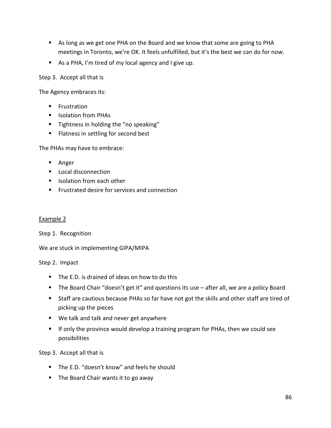- As long as we get one PHA on the Board and we know that some are going to PHA meetings in Toronto, we're OK. It feels unfulfilled, but it's the best we can do for now.
- As a PHA, I'm tired of my local agency and I give up.

Step 3. Accept all that is

The Agency embraces its:

- **Frustration**
- **I** Isolation from PHAs
- **Tightness in holding the "no speaking"**
- **Flatness in settling for second best**

The PHAs may have to embrace:

- **Anger**
- **Local disconnection**
- Isolation from each other
- **FIGULE 1** Frustrated desire for services and connection

#### Example 2

Step 1. Recognition

We are stuck in implementing GIPA/MIPA

#### Step 2. Impact

- The E.D. is drained of ideas on how to do this
- The Board Chair "doesn't get it" and questions its use after all, we are a policy Board
- Staff are cautious because PHAs so far have not got the skills and other staff are tired of picking up the pieces
- We talk and talk and never get anywhere
- If only the province would develop a training program for PHAs, then we could see possibilities

Step 3. Accept all that is

- The E.D. "doesn't know" and feels he should
- $\blacksquare$  The Board Chair wants it to go away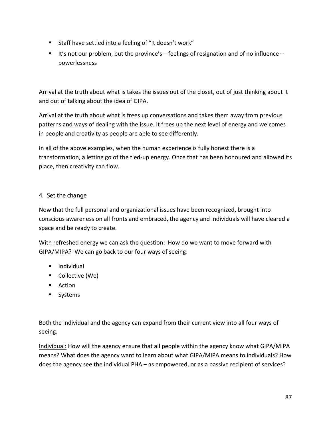- Staff have settled into a feeling of "It doesn't work"
- It's not our problem, but the province's  $-$  feelings of resignation and of no influence  $$ powerlessness

Arrival at the truth about what is takes the issues out of the closet, out of just thinking about it and out of talking about the idea of GIPA.

Arrival at the truth about what is frees up conversations and takes them away from previous patterns and ways of dealing with the issue. It frees up the next level of energy and welcomes in people and creativity as people are able to see differently.

In all of the above examples, when the human experience is fully honest there is a transformation, a letting go of the tied-up energy. Once that has been honoured and allowed its place, then creativity can flow.

## 4. Set the change

Now that the full personal and organizational issues have been recognized, brought into conscious awareness on all fronts and embraced, the agency and individuals will have cleared a space and be ready to create.

With refreshed energy we can ask the question: How do we want to move forward with GIPA/MIPA? We can go back to our four ways of seeing:

- **Individual**
- Collective (We)
- **Action**
- **Systems**

Both the individual and the agency can expand from their current view into all four ways of seeing.

Individual: How will the agency ensure that all people within the agency know what GIPA/MIPA means? What does the agency want to learn about what GIPA/MIPA means to individuals? How does the agency see the individual PHA – as empowered, or as a passive recipient of services?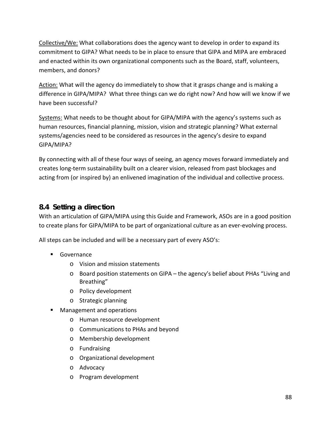Collective/We: What collaborations does the agency want to develop in order to expand its commitment to GIPA? What needs to be in place to ensure that GIPA and MIPA are embraced and enacted within its own organizational components such as the Board, staff, volunteers, members, and donors?

Action: What will the agency do immediately to show that it grasps change and is making a difference in GIPA/MIPA? What three things can we do right now? And how will we know if we have been successful?

Systems: What needs to be thought about for GIPA/MIPA with the agency's systems such as human resources, financial planning, mission, vision and strategic planning? What external systems/agencies need to be considered as resources in the agency's desire to expand GIPA/MIPA?

By connecting with all of these four ways of seeing, an agency moves forward immediately and creates long-term sustainability built on a clearer vision, released from past blockages and acting from (or inspired by) an enlivened imagination of the individual and collective process.

# **8.4 Setting a direction**

With an articulation of GIPA/MIPA using this Guide and Framework, ASOs are in a good position to create plans for GIPA/MIPA to be part of organizational culture as an ever-evolving process.

All steps can be included and will be a necessary part of every ASO's:

- **Governance** 
	- o Vision and mission statements
	- o Board position statements on GIPA the agency's belief about PHAs "Living and Breathing"
	- o Policy development
	- o Strategic planning
- Management and operations
	- o Human resource development
	- o Communications to PHAs and beyond
	- o Membership development
	- o Fundraising
	- o Organizational development
	- o Advocacy
	- o Program development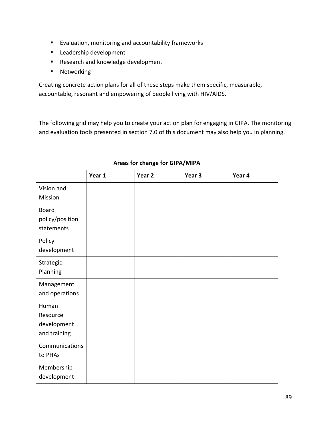- Evaluation, monitoring and accountability frameworks
- **Leadership development**
- Research and knowledge development
- **Networking**

Creating concrete action plans for all of these steps make them specific, measurable, accountable, resonant and empowering of people living with HIV/AIDS.

The following grid may help you to create your action plan for engaging in GIPA. The monitoring and evaluation tools presented in section 7.0 of this document may also help you in planning.

| Areas for change for GIPA/MIPA                   |        |                   |                   |        |  |
|--------------------------------------------------|--------|-------------------|-------------------|--------|--|
|                                                  | Year 1 | Year <sub>2</sub> | Year <sub>3</sub> | Year 4 |  |
| Vision and<br>Mission                            |        |                   |                   |        |  |
| <b>Board</b><br>policy/position<br>statements    |        |                   |                   |        |  |
| Policy<br>development                            |        |                   |                   |        |  |
| Strategic<br>Planning                            |        |                   |                   |        |  |
| Management<br>and operations                     |        |                   |                   |        |  |
| Human<br>Resource<br>development<br>and training |        |                   |                   |        |  |
| Communications<br>to PHAs                        |        |                   |                   |        |  |
| Membership<br>development                        |        |                   |                   |        |  |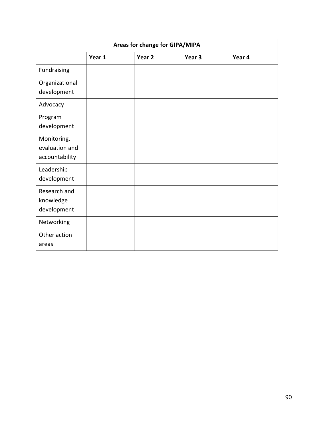| Areas for change for GIPA/MIPA                  |        |                   |        |        |  |
|-------------------------------------------------|--------|-------------------|--------|--------|--|
|                                                 | Year 1 | Year <sub>2</sub> | Year 3 | Year 4 |  |
| Fundraising                                     |        |                   |        |        |  |
| Organizational<br>development                   |        |                   |        |        |  |
| Advocacy                                        |        |                   |        |        |  |
| Program<br>development                          |        |                   |        |        |  |
| Monitoring,<br>evaluation and<br>accountability |        |                   |        |        |  |
| Leadership<br>development                       |        |                   |        |        |  |
| Research and<br>knowledge<br>development        |        |                   |        |        |  |
| Networking                                      |        |                   |        |        |  |
| Other action<br>areas                           |        |                   |        |        |  |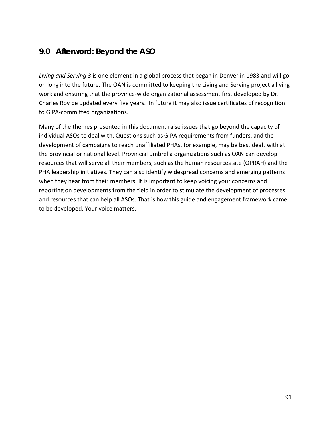# **9.0 Afterword: Beyond the ASO**

*Living and Serving 3* is one element in a global process that began in Denver in 1983 and will go on long into the future. The OAN is committed to keeping the Living and Serving project a living work and ensuring that the province-wide organizational assessment first developed by Dr. Charles Roy be updated every five years. In future it may also issue certificates of recognition to GIPA-committed organizations.

Many of the themes presented in this document raise issues that go beyond the capacity of individual ASOs to deal with. Questions such as GIPA requirements from funders, and the development of campaigns to reach unaffiliated PHAs, for example, may be best dealt with at the provincial or national level. Provincial umbrella organizations such as OAN can develop resources that will serve all their members, such as the human resources site (OPRAH) and the PHA leadership initiatives. They can also identify widespread concerns and emerging patterns when they hear from their members. It is important to keep voicing your concerns and reporting on developments from the field in order to stimulate the development of processes and resources that can help all ASOs. That is how this guide and engagement framework came to be developed. Your voice matters.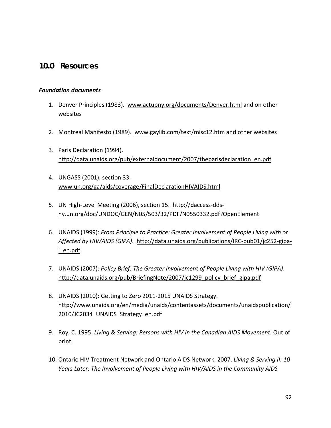## **10.0 Resources**

#### *Foundation documents*

- 1. Denver Principles (1983). [www.actupny.org/documents/Denver.html](http://www.actupny.org/documents/Denver.html) and on other websites
- 2. Montreal Manifesto (1989). [www.gaylib.com/text/misc12.htm](http://www.gaylib.com/text/misc12.htm) and other websites
- 3. Paris Declaration (1994). [http://data.unaids.org/pub/externaldocument/2007/theparisdeclaration\\_en.pdf](http://data.unaids.org/pub/externaldocument/2007/theparisdeclaration_en.pdf)
- 4. UNGASS (2001), section 33. [www.un.org/ga/aids/coverage/FinalDeclarationHIVAIDS.html](http://www.un.org/ga/aids/coverage/FinalDeclarationHIVAIDS.html)
- 5. UN High-Level Meeting (2006), section 15. [http://daccess-dds](http://daccess-dds-ny.un.org/doc/UNDOC/GEN/N05/503/32/PDF/N0550332.pdf?OpenElement)[ny.un.org/doc/UNDOC/GEN/N05/503/32/PDF/N0550332.pdf?OpenElement](http://daccess-dds-ny.un.org/doc/UNDOC/GEN/N05/503/32/PDF/N0550332.pdf?OpenElement)
- 6. UNAIDS (1999): *From Principle to Practice: Greater Involvement of People Living with or Affected by HIV/AIDS (GIPA)*. [http://data.unaids.org/publications/IRC-pub01/jc252-gipa](http://data.unaids.org/publications/IRC-pub01/jc252-gipa-i_en.pdf)i en.pdf
- 7. UNAIDS (2007): *Policy Brief: The Greater Involvement of People Living with HIV (GIPA)*. [http://data.unaids.org/pub/BriefingNote/2007/jc1299\\_policy\\_brief\\_gipa.pdf](http://data.unaids.org/pub/BriefingNote/2007/jc1299_policy_brief_gipa.pdf)
- 8. UNAIDS (2010): Getting to Zero 2011-2015 UNAIDS Strategy. [http://www.unaids.org/en/media/unaids/contentassets/documents/unaidspublication/](http://www.unaids.org/en/media/unaids/contentassets/documents/unaidspublication/2010/JC2034_UNAIDS_Strategy_en.pdf) 2010/JC2034 UNAIDS Strategy en.pdf
- 9. Roy, C. 1995. *Living & Serving: Persons with HIV in the Canadian AIDS Movement.* Out of print.
- 10. Ontario HIV Treatment Network and Ontario AIDS Network. 2007. *Living & Serving II: 10 Years Later: The Involvement of People Living with HIV/AIDS in the Community AIDS*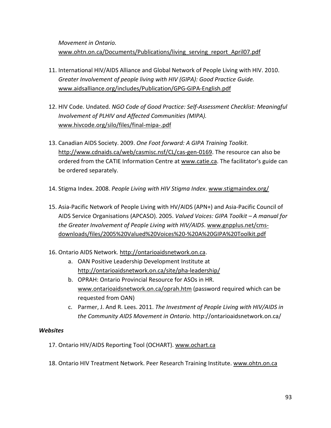*Movement in Ontario.*  www.ohtn.on.ca/Documents/Publications/living serving report April07.pdf

- 11. International HIV/AIDS Alliance and Global Network of People Living with HIV. 2010. *Greater Involvement of people living with HIV (GIPA): Good Practice Guide.* [www.aidsalliance.org/includes/Publication/GPG-GIPA-English.pdf](http://www.aidsalliance.org/includes/Publication/GPG-GIPA-English.pdf)
- 12. HIV Code. Undated. *NGO Code of Good Practice: Self-Assessment Checklist: Meaningful Involvement of PLHIV and Affected Communities (MIPA).* [www.hivcode.org/silo/files/final-mipa-.pdf](http://www.hivcode.org/silo/files/final-mipa-.pdf)
- 13. Canadian AIDS Society. 2009. *One Foot forward: A GIPA Training Toolkit.* [http://www.cdnaids.ca/web/casmisc.nsf/CL/cas-gen-0169.](http://www.cdnaids.ca/web/casmisc.nsf/CL/cas-gen-0169) The resource can also be ordered from the CATIE Information Centre at [www.catie.ca.](http://www.catie.ca/) The facilitator's guide can be ordered separately.
- 14. Stigma Index. 2008. *People Living with HIV Stigma Index*. [www.stigmaindex.org/](http://www.stigmaindex.org/)
- 15. Asia-Pacific Network of People Living with HV/AIDS (APN+) and Asia-Pacific Council of AIDS Service Organisations (APCASO). 2005. *Valued Voices: GIPA Toolkit – A manual for the Greater Involvement of People Living with HIV/AIDS*. [www.gnpplus.net/cms](http://www.gnpplus.net/cms-downloads/files/2005%20Valued%20Voices%20-%20A%20GIPA%20Toolkit.pdf)[downloads/files/2005%20Valued%20Voices%20-%20A%20GIPA%20Toolkit.pdf](http://www.gnpplus.net/cms-downloads/files/2005%20Valued%20Voices%20-%20A%20GIPA%20Toolkit.pdf)
- 16. Ontario AIDS Network. [http://ontarioaidsnetwork.on.ca.](http://ontarioaidsnetwork.on.ca/)
	- a. OAN Positive Leadership Development Institute at <http://ontarioaidsnetwork.on.ca/site/pha-leadership/>
	- b. OPRAH: Ontario Provincial Resource for ASOs in HR. [www.ontarioaidsnetwork.on.ca/oprah.htm](http://www.ontarioaidsnetwork.on.ca/oprah.htm) (password required which can be requested from OAN)
	- c. Parmer, J. And R. Lees. 2011. *The Investment of People Living with HIV/AIDS in the Community AIDS Movement in Ontario*. http://ontarioaidsnetwork.on.ca/

#### *Websites*

- 17. Ontario HIV/AIDS Reporting Tool (OCHART). [www.ochart.ca](http://www.ochart.ca/)
- 18. Ontario HIV Treatment Network. Peer Research Training Institute[. www.ohtn.on.ca](http://www.ohtn.on.ca/)